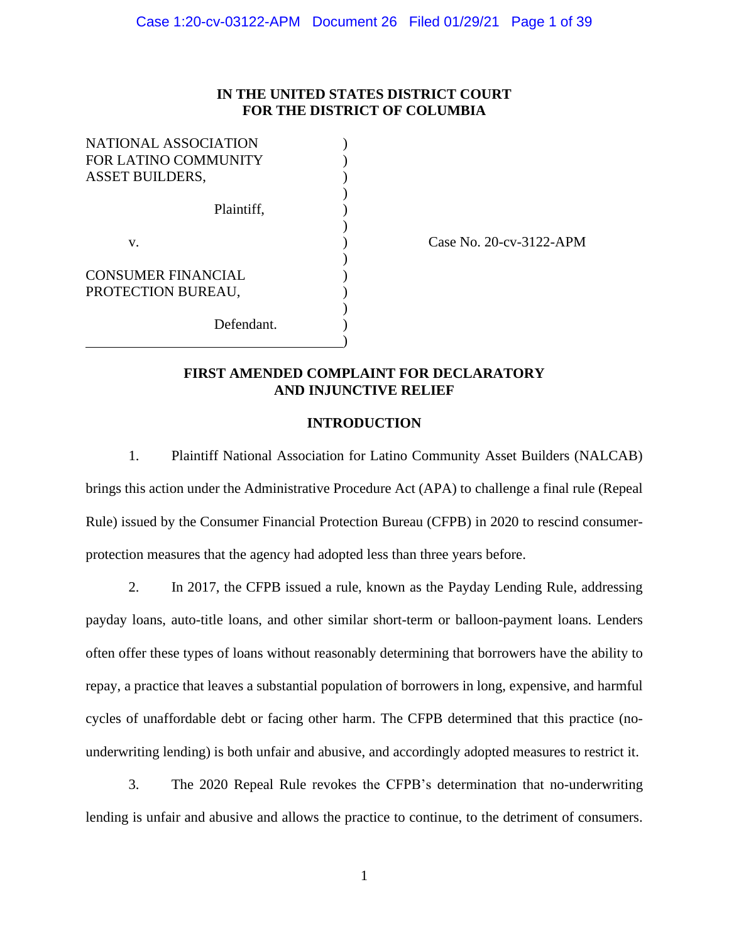# **IN THE UNITED STATES DISTRICT COURT FOR THE DISTRICT OF COLUMBIA**

| NATIONAL ASSOCIATION      |            |  |
|---------------------------|------------|--|
| FOR LATINO COMMUNITY      |            |  |
| <b>ASSET BUILDERS,</b>    |            |  |
|                           |            |  |
|                           | Plaintiff. |  |
|                           |            |  |
| v.                        |            |  |
|                           |            |  |
| <b>CONSUMER FINANCIAL</b> |            |  |
| PROTECTION BUREAU,        |            |  |
|                           |            |  |
|                           | Defendant. |  |
|                           |            |  |

Case No. 20-cv-3122-APM

# **FIRST AMENDED COMPLAINT FOR DECLARATORY AND INJUNCTIVE RELIEF**

## **INTRODUCTION**

1. Plaintiff National Association for Latino Community Asset Builders (NALCAB) brings this action under the Administrative Procedure Act (APA) to challenge a final rule (Repeal Rule) issued by the Consumer Financial Protection Bureau (CFPB) in 2020 to rescind consumerprotection measures that the agency had adopted less than three years before.

2. In 2017, the CFPB issued a rule, known as the Payday Lending Rule, addressing payday loans, auto-title loans, and other similar short-term or balloon-payment loans. Lenders often offer these types of loans without reasonably determining that borrowers have the ability to repay, a practice that leaves a substantial population of borrowers in long, expensive, and harmful cycles of unaffordable debt or facing other harm. The CFPB determined that this practice (nounderwriting lending) is both unfair and abusive, and accordingly adopted measures to restrict it.

3. The 2020 Repeal Rule revokes the CFPB's determination that no-underwriting lending is unfair and abusive and allows the practice to continue, to the detriment of consumers.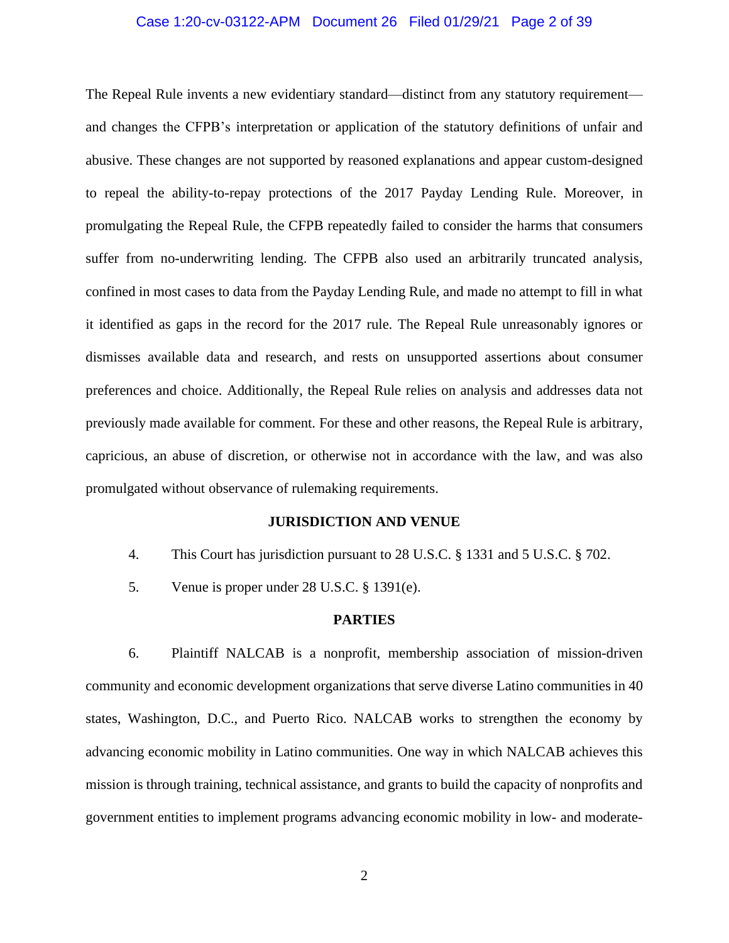## Case 1:20-cv-03122-APM Document 26 Filed 01/29/21 Page 2 of 39

The Repeal Rule invents a new evidentiary standard—distinct from any statutory requirement and changes the CFPB's interpretation or application of the statutory definitions of unfair and abusive. These changes are not supported by reasoned explanations and appear custom-designed to repeal the ability-to-repay protections of the 2017 Payday Lending Rule. Moreover, in promulgating the Repeal Rule, the CFPB repeatedly failed to consider the harms that consumers suffer from no-underwriting lending. The CFPB also used an arbitrarily truncated analysis, confined in most cases to data from the Payday Lending Rule, and made no attempt to fill in what it identified as gaps in the record for the 2017 rule. The Repeal Rule unreasonably ignores or dismisses available data and research, and rests on unsupported assertions about consumer preferences and choice. Additionally, the Repeal Rule relies on analysis and addresses data not previously made available for comment. For these and other reasons, the Repeal Rule is arbitrary, capricious, an abuse of discretion, or otherwise not in accordance with the law, and was also promulgated without observance of rulemaking requirements.

#### **JURISDICTION AND VENUE**

- 4. This Court has jurisdiction pursuant to 28 U.S.C. § 1331 and 5 U.S.C. § 702.
- 5. Venue is proper under 28 U.S.C. § 1391(e).

#### **PARTIES**

6. Plaintiff NALCAB is a nonprofit, membership association of mission-driven community and economic development organizations that serve diverse Latino communities in 40 states, Washington, D.C., and Puerto Rico. NALCAB works to strengthen the economy by advancing economic mobility in Latino communities. One way in which NALCAB achieves this mission is through training, technical assistance, and grants to build the capacity of nonprofits and government entities to implement programs advancing economic mobility in low- and moderate-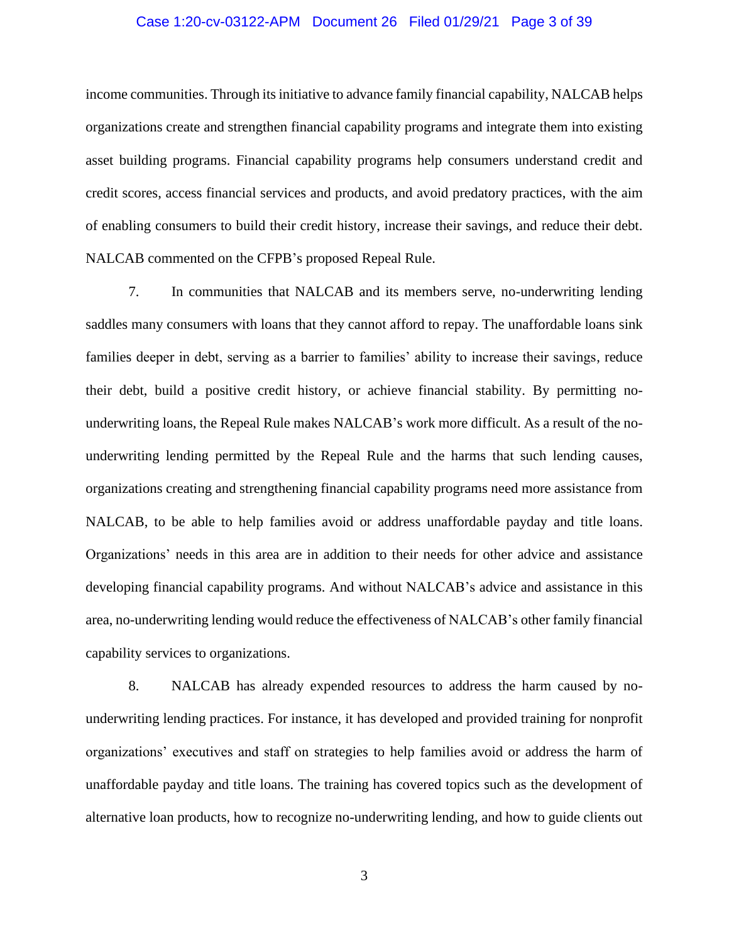## Case 1:20-cv-03122-APM Document 26 Filed 01/29/21 Page 3 of 39

income communities. Through its initiative to advance family financial capability, NALCAB helps organizations create and strengthen financial capability programs and integrate them into existing asset building programs. Financial capability programs help consumers understand credit and credit scores, access financial services and products, and avoid predatory practices, with the aim of enabling consumers to build their credit history, increase their savings, and reduce their debt. NALCAB commented on the CFPB's proposed Repeal Rule.

7. In communities that NALCAB and its members serve, no-underwriting lending saddles many consumers with loans that they cannot afford to repay. The unaffordable loans sink families deeper in debt, serving as a barrier to families' ability to increase their savings, reduce their debt, build a positive credit history, or achieve financial stability. By permitting nounderwriting loans, the Repeal Rule makes NALCAB's work more difficult. As a result of the nounderwriting lending permitted by the Repeal Rule and the harms that such lending causes, organizations creating and strengthening financial capability programs need more assistance from NALCAB, to be able to help families avoid or address unaffordable payday and title loans. Organizations' needs in this area are in addition to their needs for other advice and assistance developing financial capability programs. And without NALCAB's advice and assistance in this area, no-underwriting lending would reduce the effectiveness of NALCAB's other family financial capability services to organizations.

8. NALCAB has already expended resources to address the harm caused by nounderwriting lending practices. For instance, it has developed and provided training for nonprofit organizations' executives and staff on strategies to help families avoid or address the harm of unaffordable payday and title loans. The training has covered topics such as the development of alternative loan products, how to recognize no-underwriting lending, and how to guide clients out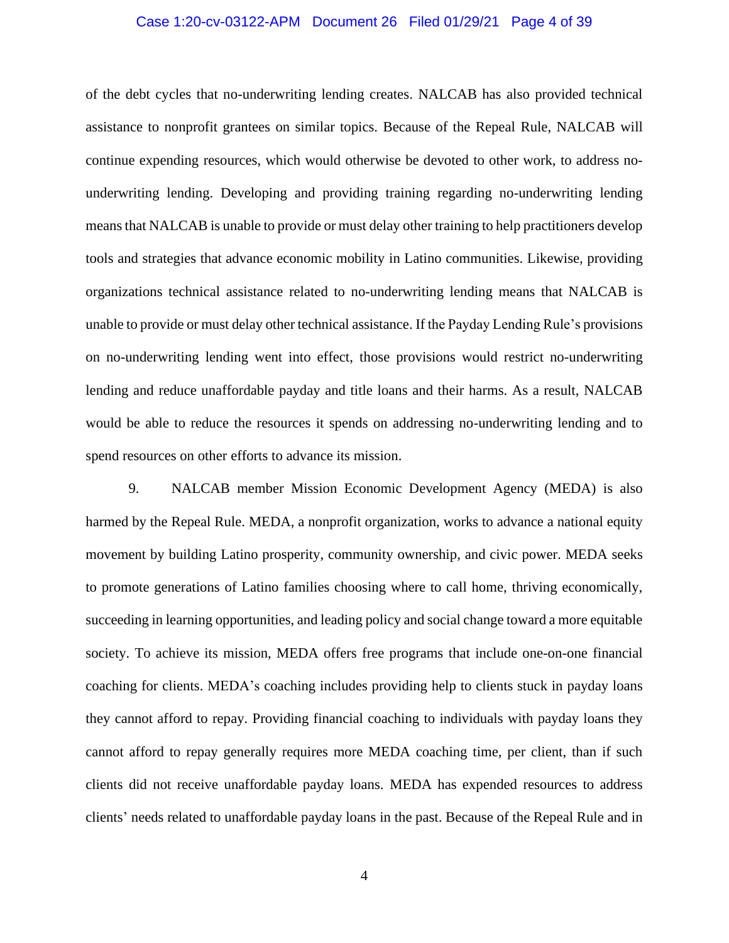## Case 1:20-cv-03122-APM Document 26 Filed 01/29/21 Page 4 of 39

of the debt cycles that no-underwriting lending creates. NALCAB has also provided technical assistance to nonprofit grantees on similar topics. Because of the Repeal Rule, NALCAB will continue expending resources, which would otherwise be devoted to other work, to address nounderwriting lending. Developing and providing training regarding no-underwriting lending means that NALCAB is unable to provide or must delay other training to help practitioners develop tools and strategies that advance economic mobility in Latino communities. Likewise, providing organizations technical assistance related to no-underwriting lending means that NALCAB is unable to provide or must delay other technical assistance. If the Payday Lending Rule's provisions on no-underwriting lending went into effect, those provisions would restrict no-underwriting lending and reduce unaffordable payday and title loans and their harms. As a result, NALCAB would be able to reduce the resources it spends on addressing no-underwriting lending and to spend resources on other efforts to advance its mission.

9. NALCAB member Mission Economic Development Agency (MEDA) is also harmed by the Repeal Rule. MEDA, a nonprofit organization, works to advance a national equity movement by building Latino prosperity, community ownership, and civic power. MEDA seeks to promote generations of Latino families choosing where to call home, thriving economically, succeeding in learning opportunities, and leading policy and social change toward a more equitable society. To achieve its mission, MEDA offers free programs that include one-on-one financial coaching for clients. MEDA's coaching includes providing help to clients stuck in payday loans they cannot afford to repay. Providing financial coaching to individuals with payday loans they cannot afford to repay generally requires more MEDA coaching time, per client, than if such clients did not receive unaffordable payday loans. MEDA has expended resources to address clients' needs related to unaffordable payday loans in the past. Because of the Repeal Rule and in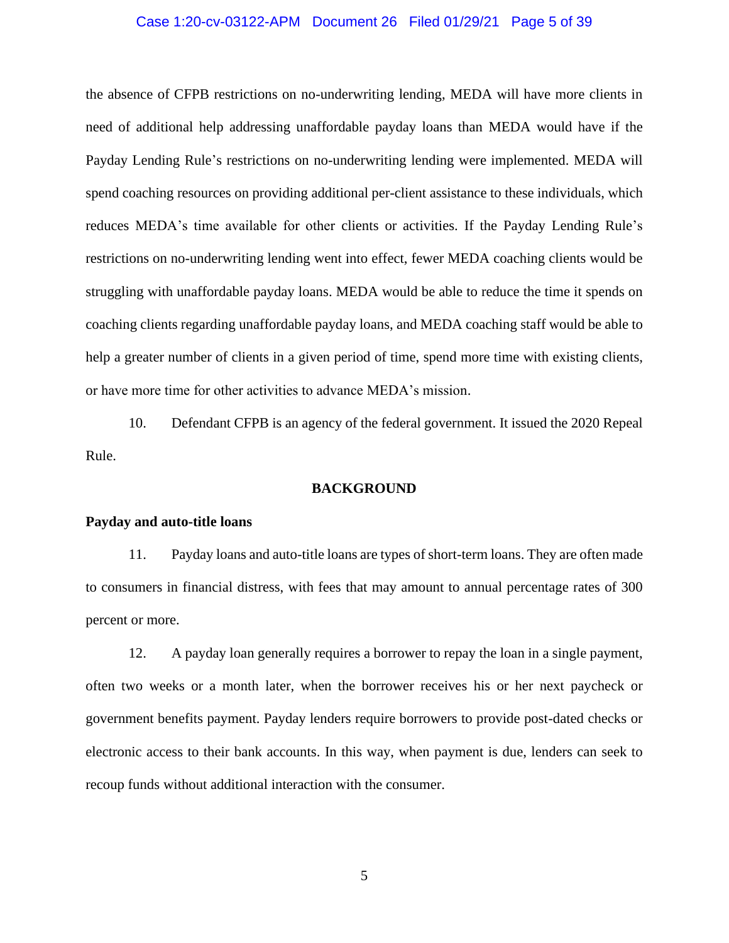## Case 1:20-cv-03122-APM Document 26 Filed 01/29/21 Page 5 of 39

the absence of CFPB restrictions on no-underwriting lending, MEDA will have more clients in need of additional help addressing unaffordable payday loans than MEDA would have if the Payday Lending Rule's restrictions on no-underwriting lending were implemented. MEDA will spend coaching resources on providing additional per-client assistance to these individuals, which reduces MEDA's time available for other clients or activities. If the Payday Lending Rule's restrictions on no-underwriting lending went into effect, fewer MEDA coaching clients would be struggling with unaffordable payday loans. MEDA would be able to reduce the time it spends on coaching clients regarding unaffordable payday loans, and MEDA coaching staff would be able to help a greater number of clients in a given period of time, spend more time with existing clients, or have more time for other activities to advance MEDA's mission.

10. Defendant CFPB is an agency of the federal government. It issued the 2020 Repeal Rule.

#### **BACKGROUND**

#### **Payday and auto-title loans**

11. Payday loans and auto-title loans are types of short-term loans. They are often made to consumers in financial distress, with fees that may amount to annual percentage rates of 300 percent or more.

12. A payday loan generally requires a borrower to repay the loan in a single payment, often two weeks or a month later, when the borrower receives his or her next paycheck or government benefits payment. Payday lenders require borrowers to provide post-dated checks or electronic access to their bank accounts. In this way, when payment is due, lenders can seek to recoup funds without additional interaction with the consumer.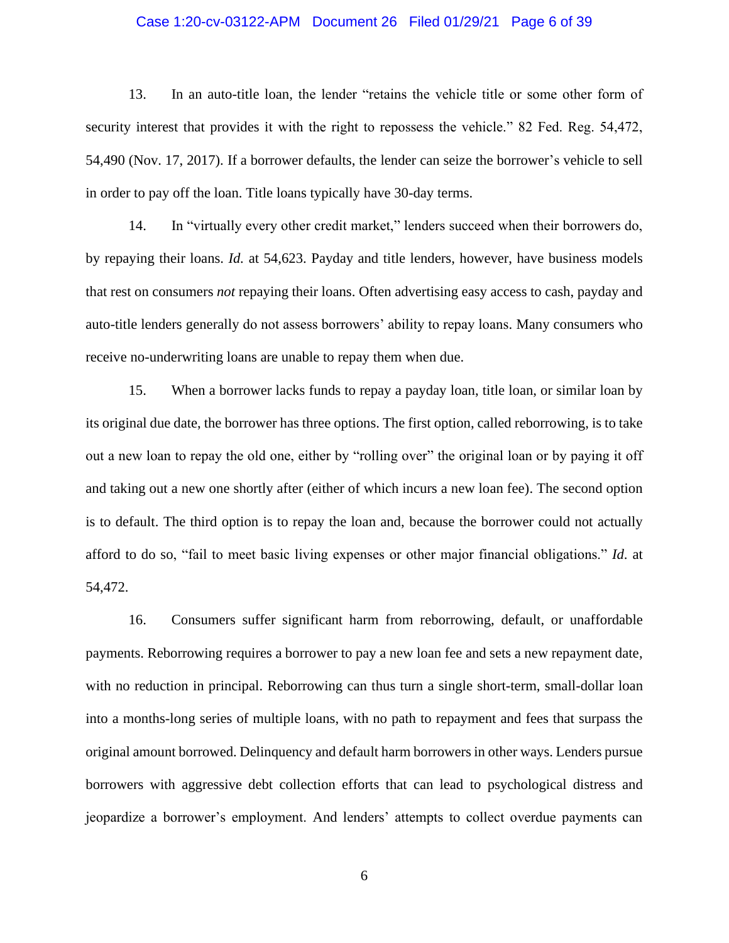## Case 1:20-cv-03122-APM Document 26 Filed 01/29/21 Page 6 of 39

13. In an auto-title loan, the lender "retains the vehicle title or some other form of security interest that provides it with the right to repossess the vehicle." 82 Fed. Reg. 54,472, 54,490 (Nov. 17, 2017). If a borrower defaults, the lender can seize the borrower's vehicle to sell in order to pay off the loan. Title loans typically have 30-day terms.

14. In "virtually every other credit market," lenders succeed when their borrowers do, by repaying their loans. *Id.* at 54,623. Payday and title lenders, however, have business models that rest on consumers *not* repaying their loans. Often advertising easy access to cash, payday and auto-title lenders generally do not assess borrowers' ability to repay loans. Many consumers who receive no-underwriting loans are unable to repay them when due.

15. When a borrower lacks funds to repay a payday loan, title loan, or similar loan by its original due date, the borrower has three options. The first option, called reborrowing, is to take out a new loan to repay the old one, either by "rolling over" the original loan or by paying it off and taking out a new one shortly after (either of which incurs a new loan fee). The second option is to default. The third option is to repay the loan and, because the borrower could not actually afford to do so, "fail to meet basic living expenses or other major financial obligations." *Id*. at 54,472.

16. Consumers suffer significant harm from reborrowing, default, or unaffordable payments. Reborrowing requires a borrower to pay a new loan fee and sets a new repayment date, with no reduction in principal. Reborrowing can thus turn a single short-term, small-dollar loan into a months-long series of multiple loans, with no path to repayment and fees that surpass the original amount borrowed. Delinquency and default harm borrowers in other ways. Lenders pursue borrowers with aggressive debt collection efforts that can lead to psychological distress and jeopardize a borrower's employment. And lenders' attempts to collect overdue payments can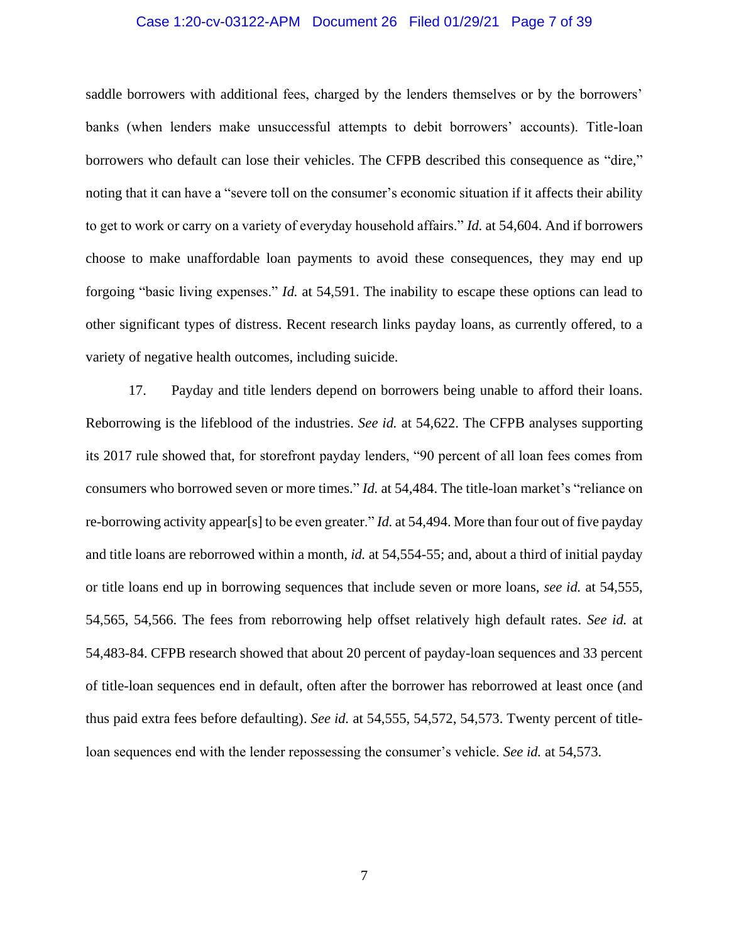## Case 1:20-cv-03122-APM Document 26 Filed 01/29/21 Page 7 of 39

saddle borrowers with additional fees, charged by the lenders themselves or by the borrowers' banks (when lenders make unsuccessful attempts to debit borrowers' accounts). Title-loan borrowers who default can lose their vehicles. The CFPB described this consequence as "dire," noting that it can have a "severe toll on the consumer's economic situation if it affects their ability to get to work or carry on a variety of everyday household affairs." *Id.* at 54,604. And if borrowers choose to make unaffordable loan payments to avoid these consequences, they may end up forgoing "basic living expenses." *Id.* at 54,591. The inability to escape these options can lead to other significant types of distress. Recent research links payday loans, as currently offered, to a variety of negative health outcomes, including suicide.

17. Payday and title lenders depend on borrowers being unable to afford their loans. Reborrowing is the lifeblood of the industries. *See id.* at 54,622. The CFPB analyses supporting its 2017 rule showed that, for storefront payday lenders, "90 percent of all loan fees comes from consumers who borrowed seven or more times." *Id.* at 54,484. The title-loan market's "reliance on re-borrowing activity appear[s] to be even greater." *Id.* at 54,494. More than four out of five payday and title loans are reborrowed within a month, *id.* at 54,554-55; and, about a third of initial payday or title loans end up in borrowing sequences that include seven or more loans, *see id.* at 54,555, 54,565, 54,566. The fees from reborrowing help offset relatively high default rates. *See id.* at 54,483-84. CFPB research showed that about 20 percent of payday-loan sequences and 33 percent of title-loan sequences end in default, often after the borrower has reborrowed at least once (and thus paid extra fees before defaulting). *See id.* at 54,555, 54,572, 54,573. Twenty percent of titleloan sequences end with the lender repossessing the consumer's vehicle. *See id.* at 54,573.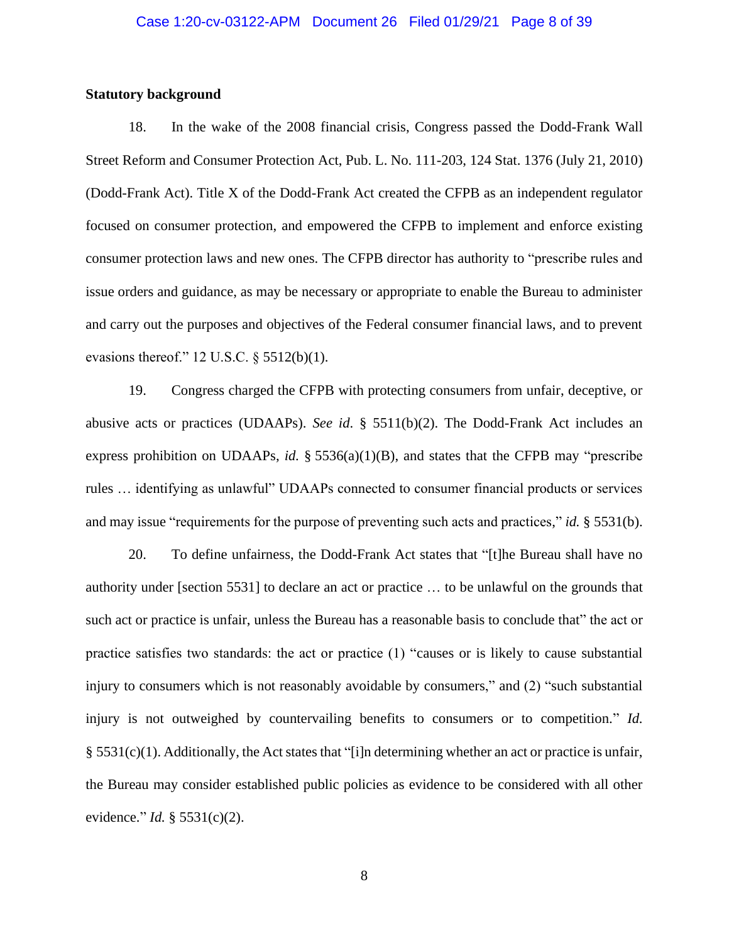## **Statutory background**

18. In the wake of the 2008 financial crisis, Congress passed the Dodd-Frank Wall Street Reform and Consumer Protection Act, Pub. L. No. 111-203, 124 Stat. 1376 (July 21, 2010) (Dodd-Frank Act). Title X of the Dodd-Frank Act created the CFPB as an independent regulator focused on consumer protection, and empowered the CFPB to implement and enforce existing consumer protection laws and new ones. The CFPB director has authority to "prescribe rules and issue orders and guidance, as may be necessary or appropriate to enable the Bureau to administer and carry out the purposes and objectives of the Federal consumer financial laws, and to prevent evasions thereof."  $12$  U.S.C.  $\S$  5512(b)(1).

19. Congress charged the CFPB with protecting consumers from unfair, deceptive, or abusive acts or practices (UDAAPs). *See id*. § 5511(b)(2). The Dodd-Frank Act includes an express prohibition on UDAAPs, *id.* § 5536(a)(1)(B), and states that the CFPB may "prescribe rules … identifying as unlawful" UDAAPs connected to consumer financial products or services and may issue "requirements for the purpose of preventing such acts and practices," *id.* § 5531(b).

20. To define unfairness, the Dodd-Frank Act states that "[t]he Bureau shall have no authority under [section 5531] to declare an act or practice … to be unlawful on the grounds that such act or practice is unfair, unless the Bureau has a reasonable basis to conclude that" the act or practice satisfies two standards: the act or practice (1) "causes or is likely to cause substantial injury to consumers which is not reasonably avoidable by consumers," and (2) "such substantial injury is not outweighed by countervailing benefits to consumers or to competition." *Id.*  § 5531(c)(1). Additionally, the Act states that "[i]n determining whether an act or practice is unfair, the Bureau may consider established public policies as evidence to be considered with all other evidence." *Id.* § 5531(c)(2).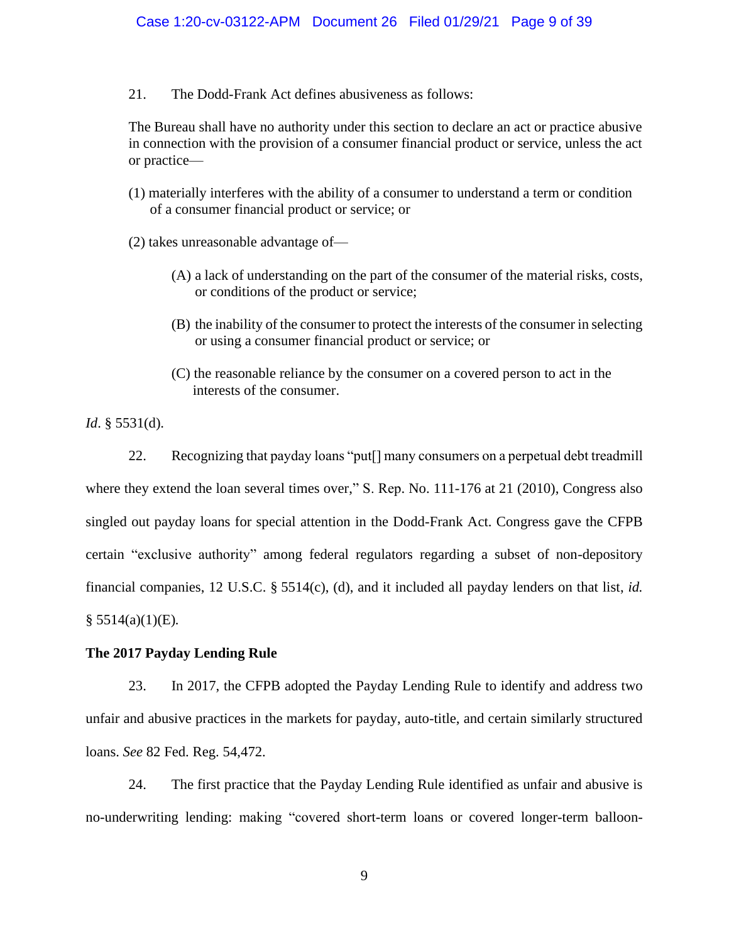21. The Dodd-Frank Act defines abusiveness as follows:

The Bureau shall have no authority under this section to declare an act or practice abusive in connection with the provision of a consumer financial product or service, unless the act or practice—

- (1) materially interferes with the ability of a consumer to understand a term or condition of a consumer financial product or service; or
- (2) takes unreasonable advantage of—
	- (A) a lack of understanding on the part of the consumer of the material risks, costs, or conditions of the product or service;
	- (B) the inability of the consumer to protect the interests of the consumer in selecting or using a consumer financial product or service; or
	- (C) the reasonable reliance by the consumer on a covered person to act in the interests of the consumer.

*Id*. § 5531(d).

22. Recognizing that payday loans "put[] many consumers on a perpetual debt treadmill where they extend the loan several times over," S. Rep. No. 111-176 at 21 (2010), Congress also singled out payday loans for special attention in the Dodd-Frank Act. Congress gave the CFPB certain "exclusive authority" among federal regulators regarding a subset of non-depository financial companies, 12 U.S.C. § 5514(c), (d), and it included all payday lenders on that list, *id.* § 5514(a)(1)(E)*.*

# **The 2017 Payday Lending Rule**

23. In 2017, the CFPB adopted the Payday Lending Rule to identify and address two unfair and abusive practices in the markets for payday, auto-title, and certain similarly structured loans. *See* 82 Fed. Reg. 54,472.

24. The first practice that the Payday Lending Rule identified as unfair and abusive is no-underwriting lending: making "covered short-term loans or covered longer-term balloon-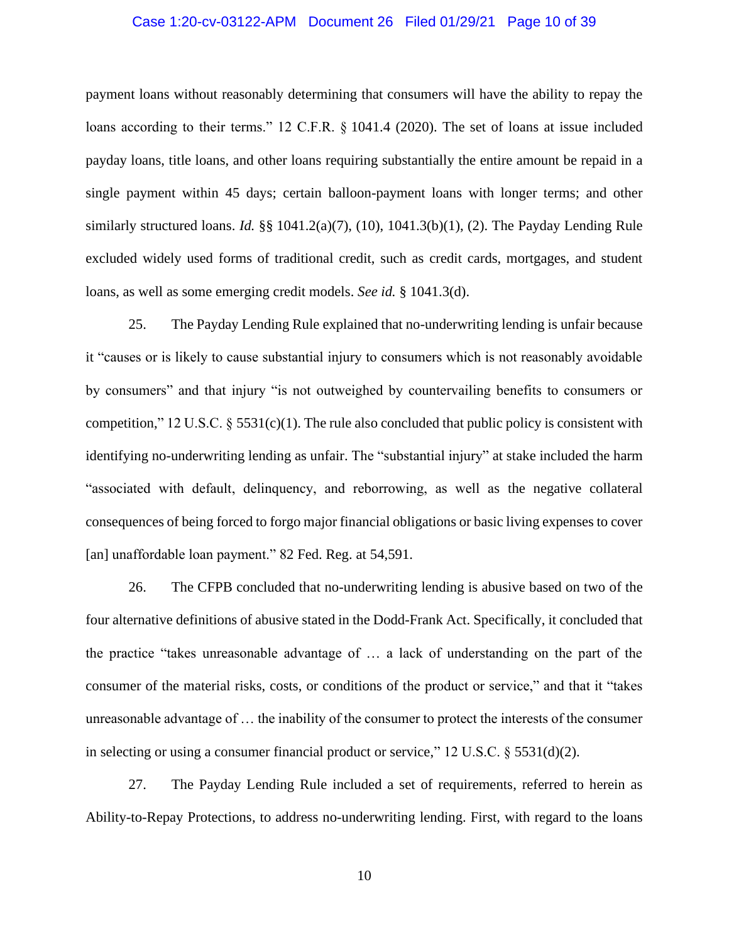## Case 1:20-cv-03122-APM Document 26 Filed 01/29/21 Page 10 of 39

payment loans without reasonably determining that consumers will have the ability to repay the loans according to their terms." 12 C.F.R. § 1041.4 (2020). The set of loans at issue included payday loans, title loans, and other loans requiring substantially the entire amount be repaid in a single payment within 45 days; certain balloon-payment loans with longer terms; and other similarly structured loans. *Id.* §§ 1041.2(a)(7), (10), 1041.3(b)(1), (2). The Payday Lending Rule excluded widely used forms of traditional credit, such as credit cards, mortgages, and student loans, as well as some emerging credit models. *See id.* § 1041.3(d).

25. The Payday Lending Rule explained that no-underwriting lending is unfair because it "causes or is likely to cause substantial injury to consumers which is not reasonably avoidable by consumers" and that injury "is not outweighed by countervailing benefits to consumers or competition," 12 U.S.C.  $\S$  5531(c)(1). The rule also concluded that public policy is consistent with identifying no-underwriting lending as unfair. The "substantial injury" at stake included the harm "associated with default, delinquency, and reborrowing, as well as the negative collateral consequences of being forced to forgo major financial obligations or basic living expenses to cover [an] unaffordable loan payment." 82 Fed. Reg. at 54,591.

26. The CFPB concluded that no-underwriting lending is abusive based on two of the four alternative definitions of abusive stated in the Dodd-Frank Act. Specifically, it concluded that the practice "takes unreasonable advantage of … a lack of understanding on the part of the consumer of the material risks, costs, or conditions of the product or service," and that it "takes unreasonable advantage of … the inability of the consumer to protect the interests of the consumer in selecting or using a consumer financial product or service,"  $12 \text{ U.S.C.}$  §  $5531(d)(2)$ .

27. The Payday Lending Rule included a set of requirements, referred to herein as Ability-to-Repay Protections, to address no-underwriting lending. First, with regard to the loans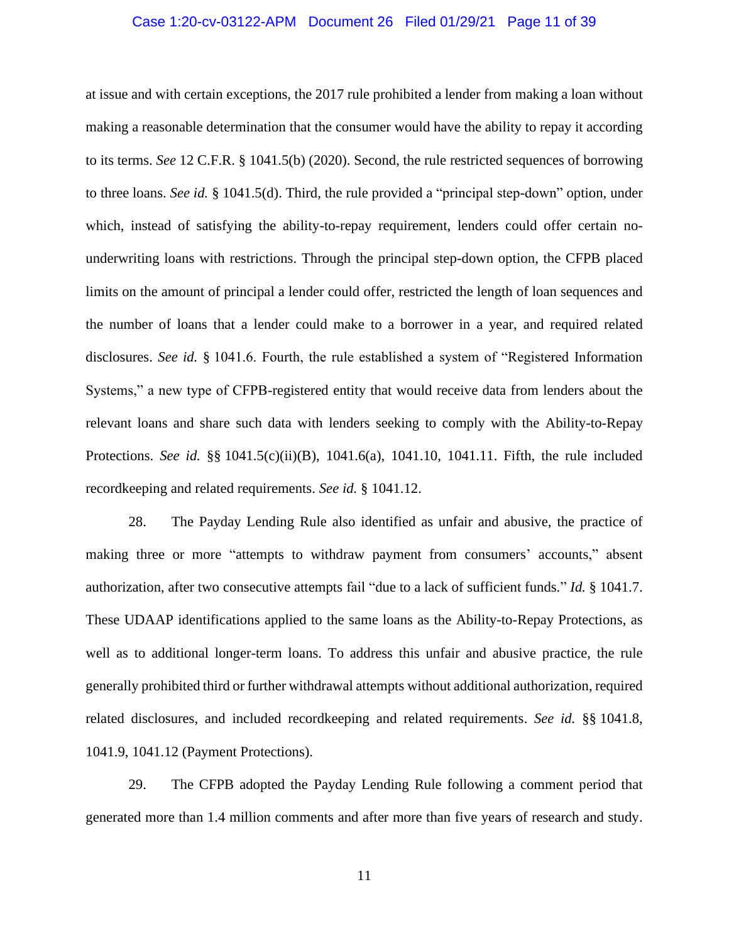## Case 1:20-cv-03122-APM Document 26 Filed 01/29/21 Page 11 of 39

at issue and with certain exceptions, the 2017 rule prohibited a lender from making a loan without making a reasonable determination that the consumer would have the ability to repay it according to its terms. *See* 12 C.F.R. § 1041.5(b) (2020). Second, the rule restricted sequences of borrowing to three loans. *See id.* § 1041.5(d). Third, the rule provided a "principal step-down" option, under which, instead of satisfying the ability-to-repay requirement, lenders could offer certain nounderwriting loans with restrictions. Through the principal step-down option, the CFPB placed limits on the amount of principal a lender could offer, restricted the length of loan sequences and the number of loans that a lender could make to a borrower in a year, and required related disclosures. *See id.* § 1041.6. Fourth, the rule established a system of "Registered Information Systems," a new type of CFPB-registered entity that would receive data from lenders about the relevant loans and share such data with lenders seeking to comply with the Ability-to-Repay Protections. *See id.* §§ 1041.5(c)(ii)(B), 1041.6(a), 1041.10, 1041.11. Fifth, the rule included recordkeeping and related requirements. *See id.* § 1041.12.

28. The Payday Lending Rule also identified as unfair and abusive, the practice of making three or more "attempts to withdraw payment from consumers' accounts," absent authorization, after two consecutive attempts fail "due to a lack of sufficient funds." *Id.* § 1041.7. These UDAAP identifications applied to the same loans as the Ability-to-Repay Protections, as well as to additional longer-term loans. To address this unfair and abusive practice, the rule generally prohibited third or further withdrawal attempts without additional authorization, required related disclosures, and included recordkeeping and related requirements. *See id.* §§ 1041.8, 1041.9, 1041.12 (Payment Protections).

29. The CFPB adopted the Payday Lending Rule following a comment period that generated more than 1.4 million comments and after more than five years of research and study.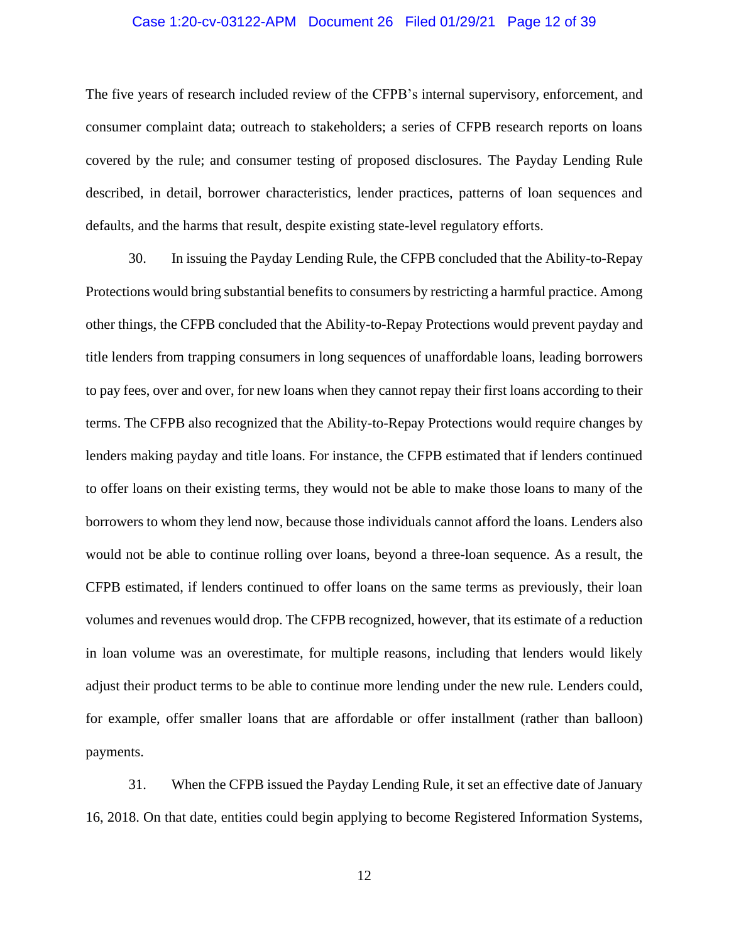## Case 1:20-cv-03122-APM Document 26 Filed 01/29/21 Page 12 of 39

The five years of research included review of the CFPB's internal supervisory, enforcement, and consumer complaint data; outreach to stakeholders; a series of CFPB research reports on loans covered by the rule; and consumer testing of proposed disclosures. The Payday Lending Rule described, in detail, borrower characteristics, lender practices, patterns of loan sequences and defaults, and the harms that result, despite existing state-level regulatory efforts.

30. In issuing the Payday Lending Rule, the CFPB concluded that the Ability-to-Repay Protections would bring substantial benefits to consumers by restricting a harmful practice. Among other things, the CFPB concluded that the Ability-to-Repay Protections would prevent payday and title lenders from trapping consumers in long sequences of unaffordable loans, leading borrowers to pay fees, over and over, for new loans when they cannot repay their first loans according to their terms. The CFPB also recognized that the Ability-to-Repay Protections would require changes by lenders making payday and title loans. For instance, the CFPB estimated that if lenders continued to offer loans on their existing terms, they would not be able to make those loans to many of the borrowers to whom they lend now, because those individuals cannot afford the loans. Lenders also would not be able to continue rolling over loans, beyond a three-loan sequence. As a result, the CFPB estimated, if lenders continued to offer loans on the same terms as previously, their loan volumes and revenues would drop. The CFPB recognized, however, that its estimate of a reduction in loan volume was an overestimate, for multiple reasons, including that lenders would likely adjust their product terms to be able to continue more lending under the new rule. Lenders could, for example, offer smaller loans that are affordable or offer installment (rather than balloon) payments.

31. When the CFPB issued the Payday Lending Rule, it set an effective date of January 16, 2018. On that date, entities could begin applying to become Registered Information Systems,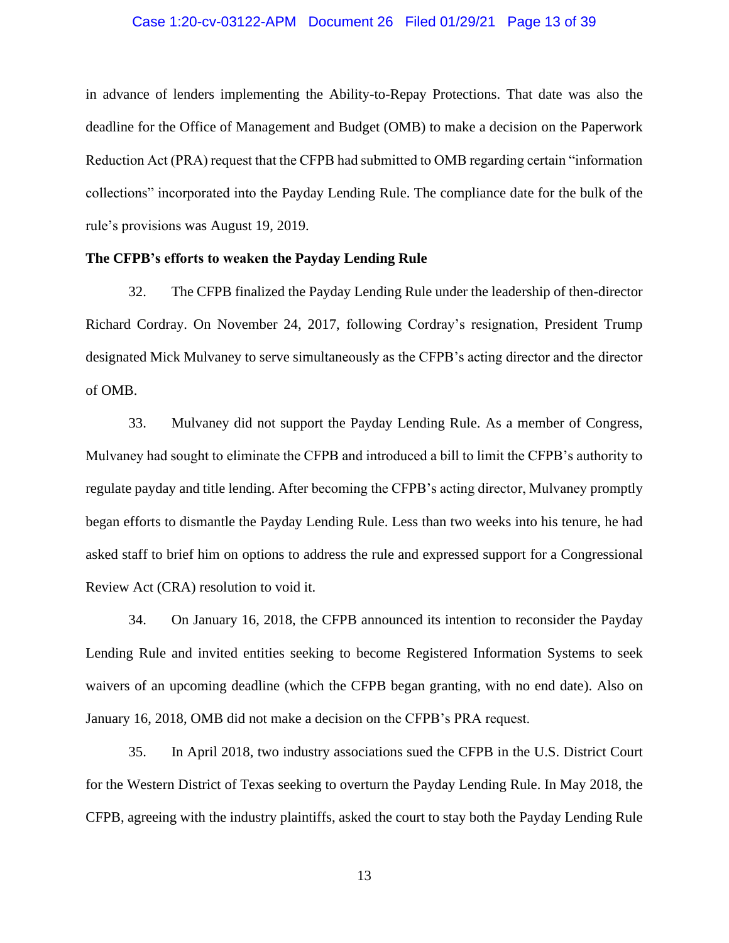## Case 1:20-cv-03122-APM Document 26 Filed 01/29/21 Page 13 of 39

in advance of lenders implementing the Ability-to-Repay Protections. That date was also the deadline for the Office of Management and Budget (OMB) to make a decision on the Paperwork Reduction Act (PRA) request that the CFPB had submitted to OMB regarding certain "information collections" incorporated into the Payday Lending Rule. The compliance date for the bulk of the rule's provisions was August 19, 2019.

## **The CFPB's efforts to weaken the Payday Lending Rule**

32. The CFPB finalized the Payday Lending Rule under the leadership of then-director Richard Cordray. On November 24, 2017, following Cordray's resignation, President Trump designated Mick Mulvaney to serve simultaneously as the CFPB's acting director and the director of OMB.

33. Mulvaney did not support the Payday Lending Rule. As a member of Congress, Mulvaney had sought to eliminate the CFPB and introduced a bill to limit the CFPB's authority to regulate payday and title lending. After becoming the CFPB's acting director, Mulvaney promptly began efforts to dismantle the Payday Lending Rule. Less than two weeks into his tenure, he had asked staff to brief him on options to address the rule and expressed support for a Congressional Review Act (CRA) resolution to void it.

34. On January 16, 2018, the CFPB announced its intention to reconsider the Payday Lending Rule and invited entities seeking to become Registered Information Systems to seek waivers of an upcoming deadline (which the CFPB began granting, with no end date). Also on January 16, 2018, OMB did not make a decision on the CFPB's PRA request.

35. In April 2018, two industry associations sued the CFPB in the U.S. District Court for the Western District of Texas seeking to overturn the Payday Lending Rule. In May 2018, the CFPB, agreeing with the industry plaintiffs, asked the court to stay both the Payday Lending Rule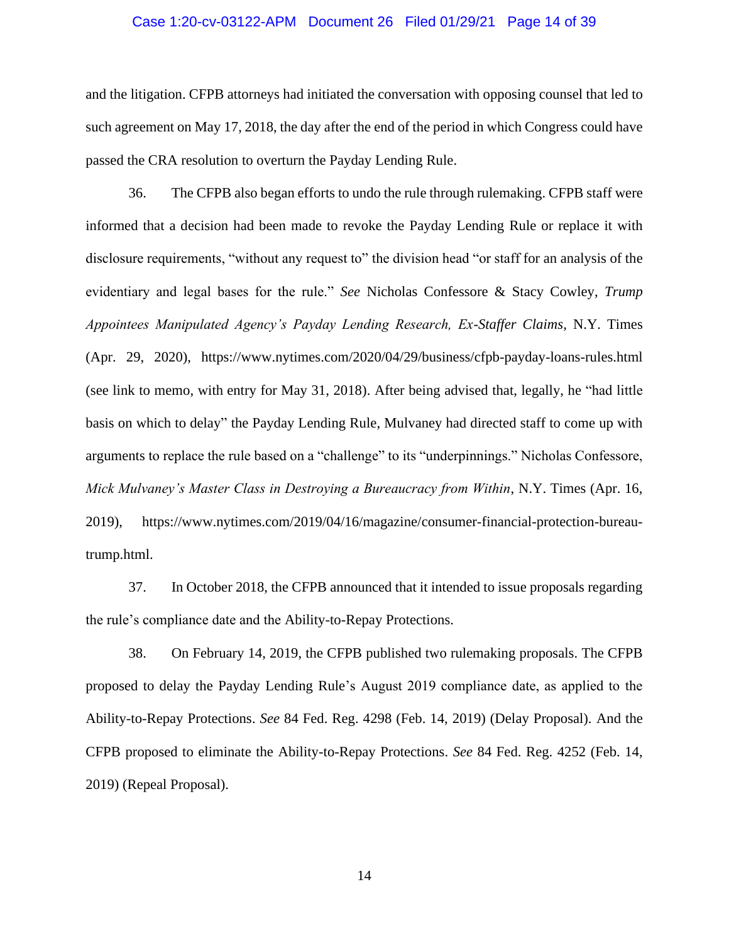## Case 1:20-cv-03122-APM Document 26 Filed 01/29/21 Page 14 of 39

and the litigation. CFPB attorneys had initiated the conversation with opposing counsel that led to such agreement on May 17, 2018, the day after the end of the period in which Congress could have passed the CRA resolution to overturn the Payday Lending Rule.

36. The CFPB also began efforts to undo the rule through rulemaking. CFPB staff were informed that a decision had been made to revoke the Payday Lending Rule or replace it with disclosure requirements, "without any request to" the division head "or staff for an analysis of the evidentiary and legal bases for the rule." *See* Nicholas Confessore & Stacy Cowley, *Trump Appointees Manipulated Agency's Payday Lending Research, Ex-Staffer Claims*, N.Y. Times (Apr. 29, 2020), https://www.nytimes.com/2020/04/29/business/cfpb-payday-loans-rules.html (see link to memo, with entry for May 31, 2018). After being advised that, legally, he "had little basis on which to delay" the Payday Lending Rule, Mulvaney had directed staff to come up with arguments to replace the rule based on a "challenge" to its "underpinnings." Nicholas Confessore, *Mick Mulvaney's Master Class in Destroying a Bureaucracy from Within*, N.Y. Times (Apr. 16, 2019), https://www.nytimes.com/2019/04/16/magazine/consumer-financial-protection-bureautrump.html.

37. In October 2018, the CFPB announced that it intended to issue proposals regarding the rule's compliance date and the Ability-to-Repay Protections.

38. On February 14, 2019, the CFPB published two rulemaking proposals. The CFPB proposed to delay the Payday Lending Rule's August 2019 compliance date, as applied to the Ability-to-Repay Protections. *See* 84 Fed. Reg. 4298 (Feb. 14, 2019) (Delay Proposal). And the CFPB proposed to eliminate the Ability-to-Repay Protections. *See* 84 Fed. Reg. 4252 (Feb. 14, 2019) (Repeal Proposal).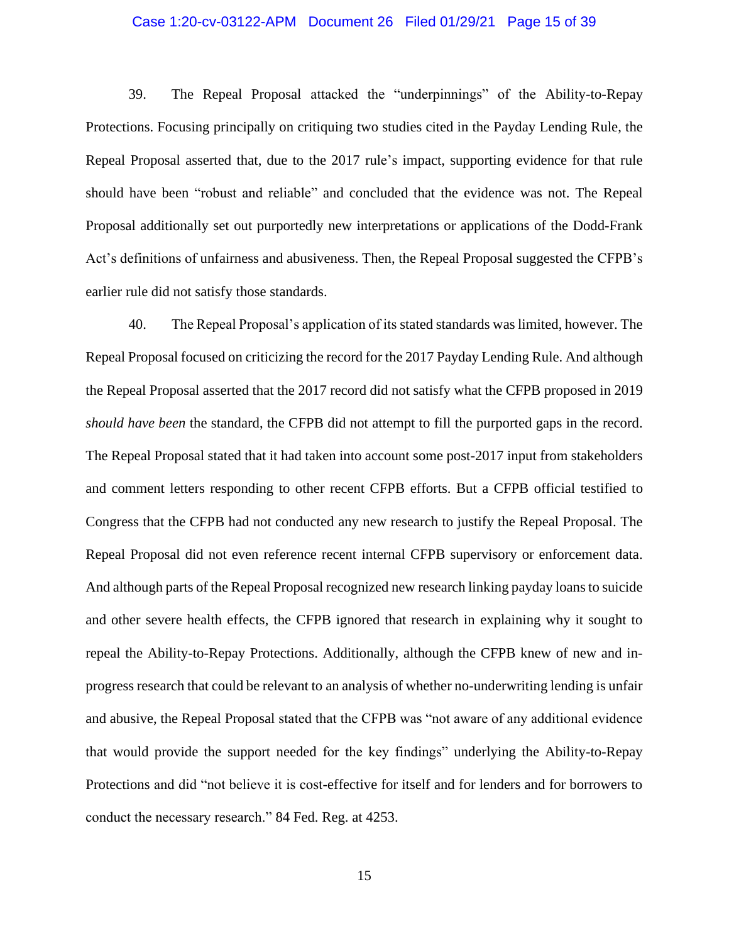## Case 1:20-cv-03122-APM Document 26 Filed 01/29/21 Page 15 of 39

39. The Repeal Proposal attacked the "underpinnings" of the Ability-to-Repay Protections. Focusing principally on critiquing two studies cited in the Payday Lending Rule, the Repeal Proposal asserted that, due to the 2017 rule's impact, supporting evidence for that rule should have been "robust and reliable" and concluded that the evidence was not. The Repeal Proposal additionally set out purportedly new interpretations or applications of the Dodd-Frank Act's definitions of unfairness and abusiveness. Then, the Repeal Proposal suggested the CFPB's earlier rule did not satisfy those standards.

40. The Repeal Proposal's application of its stated standards was limited, however. The Repeal Proposal focused on criticizing the record for the 2017 Payday Lending Rule. And although the Repeal Proposal asserted that the 2017 record did not satisfy what the CFPB proposed in 2019 *should have been* the standard, the CFPB did not attempt to fill the purported gaps in the record. The Repeal Proposal stated that it had taken into account some post-2017 input from stakeholders and comment letters responding to other recent CFPB efforts. But a CFPB official testified to Congress that the CFPB had not conducted any new research to justify the Repeal Proposal. The Repeal Proposal did not even reference recent internal CFPB supervisory or enforcement data. And although parts of the Repeal Proposal recognized new research linking payday loans to suicide and other severe health effects, the CFPB ignored that research in explaining why it sought to repeal the Ability-to-Repay Protections. Additionally, although the CFPB knew of new and inprogress research that could be relevant to an analysis of whether no-underwriting lending is unfair and abusive, the Repeal Proposal stated that the CFPB was "not aware of any additional evidence that would provide the support needed for the key findings" underlying the Ability-to-Repay Protections and did "not believe it is cost-effective for itself and for lenders and for borrowers to conduct the necessary research." 84 Fed. Reg. at 4253.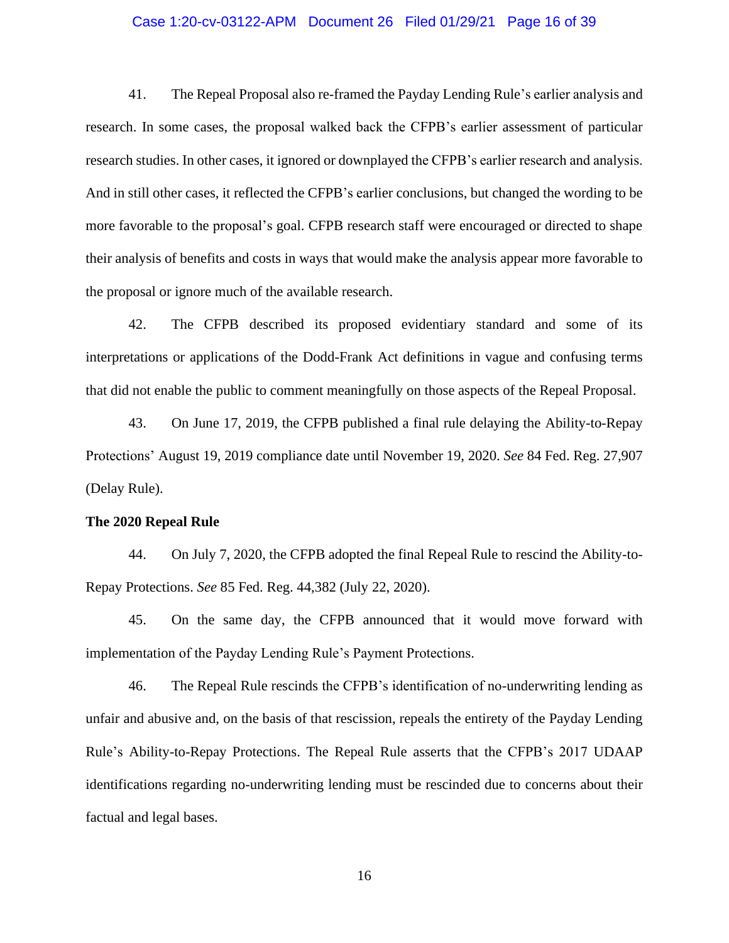## Case 1:20-cv-03122-APM Document 26 Filed 01/29/21 Page 16 of 39

41. The Repeal Proposal also re-framed the Payday Lending Rule's earlier analysis and research. In some cases, the proposal walked back the CFPB's earlier assessment of particular research studies. In other cases, it ignored or downplayed the CFPB's earlier research and analysis. And in still other cases, it reflected the CFPB's earlier conclusions, but changed the wording to be more favorable to the proposal's goal. CFPB research staff were encouraged or directed to shape their analysis of benefits and costs in ways that would make the analysis appear more favorable to the proposal or ignore much of the available research.

42. The CFPB described its proposed evidentiary standard and some of its interpretations or applications of the Dodd-Frank Act definitions in vague and confusing terms that did not enable the public to comment meaningfully on those aspects of the Repeal Proposal.

43. On June 17, 2019, the CFPB published a final rule delaying the Ability-to-Repay Protections' August 19, 2019 compliance date until November 19, 2020. *See* 84 Fed. Reg. 27,907 (Delay Rule).

#### **The 2020 Repeal Rule**

44. On July 7, 2020, the CFPB adopted the final Repeal Rule to rescind the Ability-to-Repay Protections. *See* 85 Fed. Reg. 44,382 (July 22, 2020).

45. On the same day, the CFPB announced that it would move forward with implementation of the Payday Lending Rule's Payment Protections.

46. The Repeal Rule rescinds the CFPB's identification of no-underwriting lending as unfair and abusive and, on the basis of that rescission, repeals the entirety of the Payday Lending Rule's Ability-to-Repay Protections. The Repeal Rule asserts that the CFPB's 2017 UDAAP identifications regarding no-underwriting lending must be rescinded due to concerns about their factual and legal bases.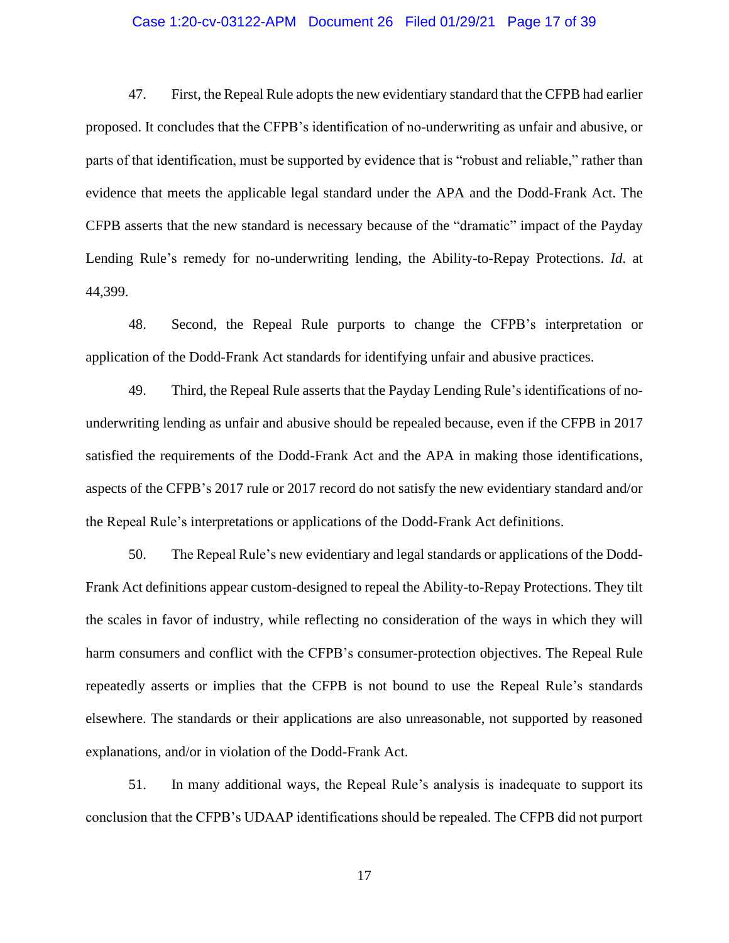## Case 1:20-cv-03122-APM Document 26 Filed 01/29/21 Page 17 of 39

47. First, the Repeal Rule adopts the new evidentiary standard that the CFPB had earlier proposed. It concludes that the CFPB's identification of no-underwriting as unfair and abusive, or parts of that identification, must be supported by evidence that is "robust and reliable," rather than evidence that meets the applicable legal standard under the APA and the Dodd-Frank Act. The CFPB asserts that the new standard is necessary because of the "dramatic" impact of the Payday Lending Rule's remedy for no-underwriting lending, the Ability-to-Repay Protections. *Id*. at 44,399.

48. Second, the Repeal Rule purports to change the CFPB's interpretation or application of the Dodd-Frank Act standards for identifying unfair and abusive practices.

49. Third, the Repeal Rule asserts that the Payday Lending Rule's identifications of nounderwriting lending as unfair and abusive should be repealed because, even if the CFPB in 2017 satisfied the requirements of the Dodd-Frank Act and the APA in making those identifications, aspects of the CFPB's 2017 rule or 2017 record do not satisfy the new evidentiary standard and/or the Repeal Rule's interpretations or applications of the Dodd-Frank Act definitions.

50. The Repeal Rule's new evidentiary and legal standards or applications of the Dodd-Frank Act definitions appear custom-designed to repeal the Ability-to-Repay Protections. They tilt the scales in favor of industry, while reflecting no consideration of the ways in which they will harm consumers and conflict with the CFPB's consumer-protection objectives. The Repeal Rule repeatedly asserts or implies that the CFPB is not bound to use the Repeal Rule's standards elsewhere. The standards or their applications are also unreasonable, not supported by reasoned explanations, and/or in violation of the Dodd-Frank Act.

51. In many additional ways, the Repeal Rule's analysis is inadequate to support its conclusion that the CFPB's UDAAP identifications should be repealed. The CFPB did not purport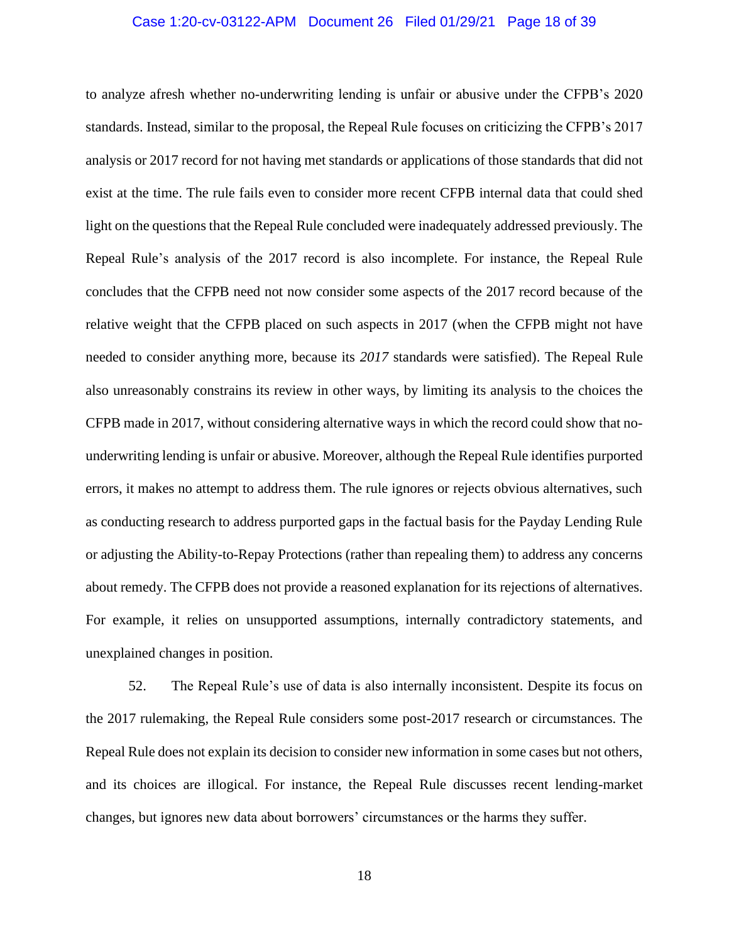## Case 1:20-cv-03122-APM Document 26 Filed 01/29/21 Page 18 of 39

to analyze afresh whether no-underwriting lending is unfair or abusive under the CFPB's 2020 standards. Instead, similar to the proposal, the Repeal Rule focuses on criticizing the CFPB's 2017 analysis or 2017 record for not having met standards or applications of those standards that did not exist at the time. The rule fails even to consider more recent CFPB internal data that could shed light on the questions that the Repeal Rule concluded were inadequately addressed previously. The Repeal Rule's analysis of the 2017 record is also incomplete. For instance, the Repeal Rule concludes that the CFPB need not now consider some aspects of the 2017 record because of the relative weight that the CFPB placed on such aspects in 2017 (when the CFPB might not have needed to consider anything more, because its *2017* standards were satisfied). The Repeal Rule also unreasonably constrains its review in other ways, by limiting its analysis to the choices the CFPB made in 2017, without considering alternative ways in which the record could show that nounderwriting lending is unfair or abusive. Moreover, although the Repeal Rule identifies purported errors, it makes no attempt to address them. The rule ignores or rejects obvious alternatives, such as conducting research to address purported gaps in the factual basis for the Payday Lending Rule or adjusting the Ability-to-Repay Protections (rather than repealing them) to address any concerns about remedy. The CFPB does not provide a reasoned explanation for its rejections of alternatives. For example, it relies on unsupported assumptions, internally contradictory statements, and unexplained changes in position.

52. The Repeal Rule's use of data is also internally inconsistent. Despite its focus on the 2017 rulemaking, the Repeal Rule considers some post-2017 research or circumstances. The Repeal Rule does not explain its decision to consider new information in some cases but not others, and its choices are illogical. For instance, the Repeal Rule discusses recent lending-market changes, but ignores new data about borrowers' circumstances or the harms they suffer.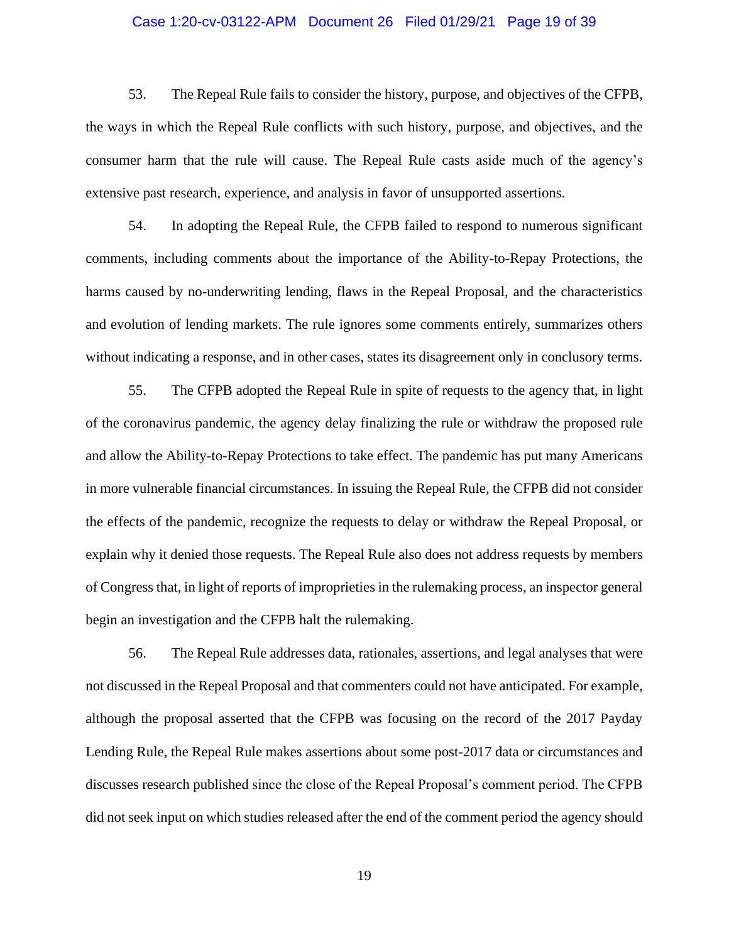## Case 1:20-cv-03122-APM Document 26 Filed 01/29/21 Page 19 of 39

53. The Repeal Rule fails to consider the history, purpose, and objectives of the CFPB, the ways in which the Repeal Rule conflicts with such history, purpose, and objectives, and the consumer harm that the rule will cause. The Repeal Rule casts aside much of the agency's extensive past research, experience, and analysis in favor of unsupported assertions.

54. In adopting the Repeal Rule, the CFPB failed to respond to numerous significant comments, including comments about the importance of the Ability-to-Repay Protections, the harms caused by no-underwriting lending, flaws in the Repeal Proposal, and the characteristics and evolution of lending markets. The rule ignores some comments entirely, summarizes others without indicating a response, and in other cases, states its disagreement only in conclusory terms.

55. The CFPB adopted the Repeal Rule in spite of requests to the agency that, in light of the coronavirus pandemic, the agency delay finalizing the rule or withdraw the proposed rule and allow the Ability-to-Repay Protections to take effect. The pandemic has put many Americans in more vulnerable financial circumstances. In issuing the Repeal Rule, the CFPB did not consider the effects of the pandemic, recognize the requests to delay or withdraw the Repeal Proposal, or explain why it denied those requests. The Repeal Rule also does not address requests by members of Congress that, in light of reports of improprieties in the rulemaking process, an inspector general begin an investigation and the CFPB halt the rulemaking.

56. The Repeal Rule addresses data, rationales, assertions, and legal analyses that were not discussed in the Repeal Proposal and that commenters could not have anticipated. For example, although the proposal asserted that the CFPB was focusing on the record of the 2017 Payday Lending Rule, the Repeal Rule makes assertions about some post-2017 data or circumstances and discusses research published since the close of the Repeal Proposal's comment period. The CFPB did not seek input on which studies released after the end of the comment period the agency should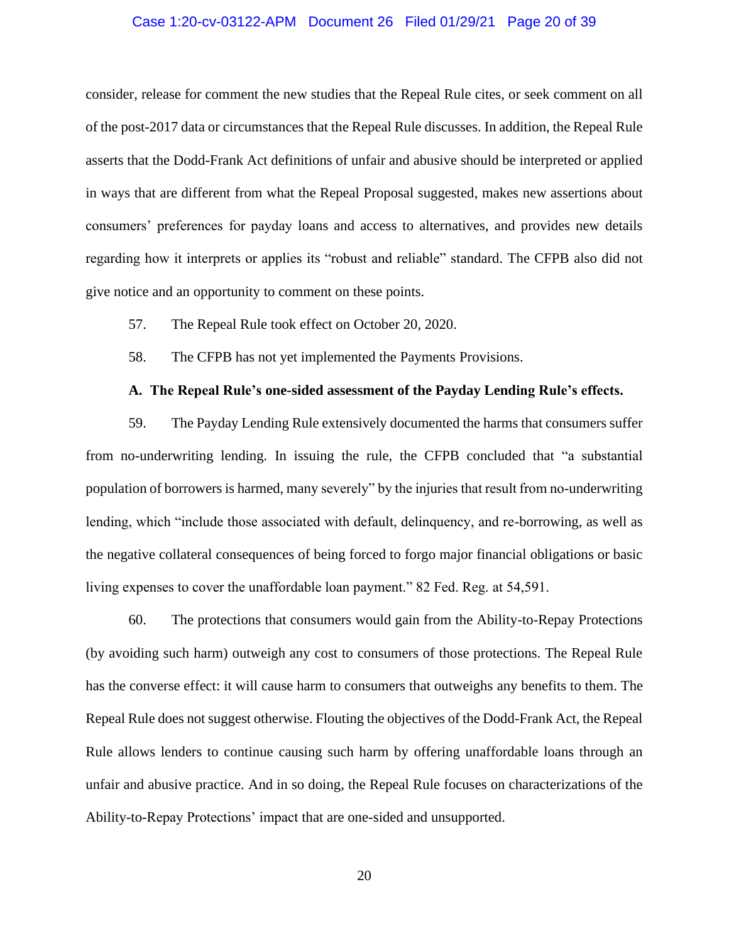## Case 1:20-cv-03122-APM Document 26 Filed 01/29/21 Page 20 of 39

consider, release for comment the new studies that the Repeal Rule cites, or seek comment on all of the post-2017 data or circumstances that the Repeal Rule discusses. In addition, the Repeal Rule asserts that the Dodd-Frank Act definitions of unfair and abusive should be interpreted or applied in ways that are different from what the Repeal Proposal suggested, makes new assertions about consumers' preferences for payday loans and access to alternatives, and provides new details regarding how it interprets or applies its "robust and reliable" standard. The CFPB also did not give notice and an opportunity to comment on these points.

- 57. The Repeal Rule took effect on October 20, 2020.
- 58. The CFPB has not yet implemented the Payments Provisions.

#### **A. The Repeal Rule's one-sided assessment of the Payday Lending Rule's effects.**

59. The Payday Lending Rule extensively documented the harms that consumers suffer from no-underwriting lending. In issuing the rule, the CFPB concluded that "a substantial population of borrowers is harmed, many severely" by the injuries that result from no-underwriting lending, which "include those associated with default, delinquency, and re-borrowing, as well as the negative collateral consequences of being forced to forgo major financial obligations or basic living expenses to cover the unaffordable loan payment." 82 Fed. Reg. at 54,591.

60. The protections that consumers would gain from the Ability-to-Repay Protections (by avoiding such harm) outweigh any cost to consumers of those protections. The Repeal Rule has the converse effect: it will cause harm to consumers that outweighs any benefits to them. The Repeal Rule does not suggest otherwise. Flouting the objectives of the Dodd-Frank Act, the Repeal Rule allows lenders to continue causing such harm by offering unaffordable loans through an unfair and abusive practice. And in so doing, the Repeal Rule focuses on characterizations of the Ability-to-Repay Protections' impact that are one-sided and unsupported.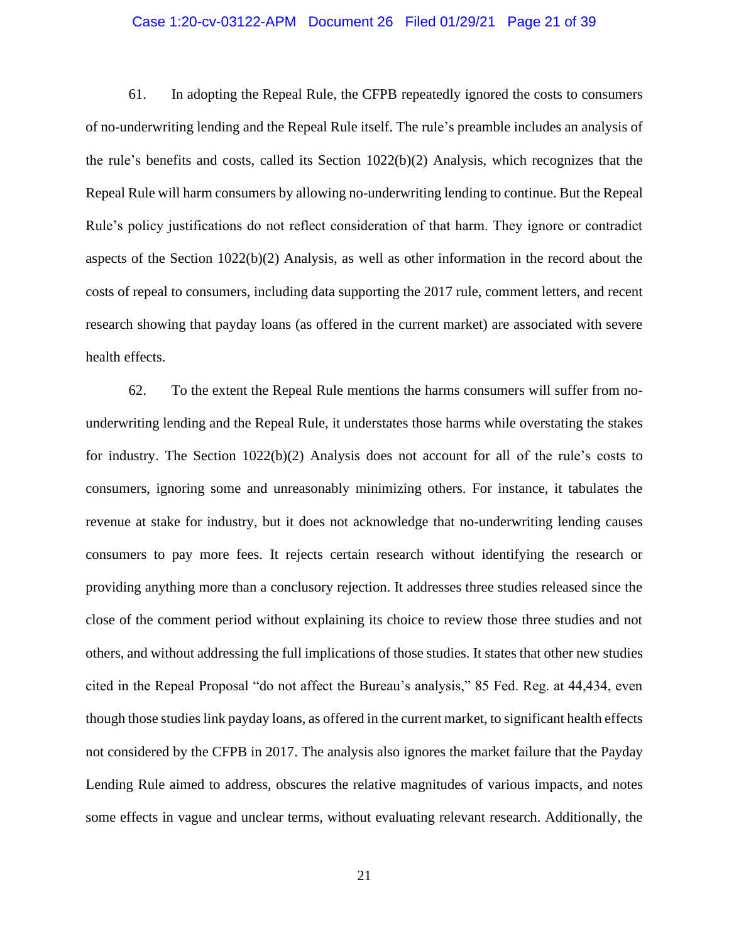## Case 1:20-cv-03122-APM Document 26 Filed 01/29/21 Page 21 of 39

61. In adopting the Repeal Rule, the CFPB repeatedly ignored the costs to consumers of no-underwriting lending and the Repeal Rule itself. The rule's preamble includes an analysis of the rule's benefits and costs, called its Section 1022(b)(2) Analysis, which recognizes that the Repeal Rule will harm consumers by allowing no-underwriting lending to continue. But the Repeal Rule's policy justifications do not reflect consideration of that harm. They ignore or contradict aspects of the Section 1022(b)(2) Analysis, as well as other information in the record about the costs of repeal to consumers, including data supporting the 2017 rule, comment letters, and recent research showing that payday loans (as offered in the current market) are associated with severe health effects.

62. To the extent the Repeal Rule mentions the harms consumers will suffer from nounderwriting lending and the Repeal Rule, it understates those harms while overstating the stakes for industry. The Section  $1022(b)(2)$  Analysis does not account for all of the rule's costs to consumers, ignoring some and unreasonably minimizing others. For instance, it tabulates the revenue at stake for industry, but it does not acknowledge that no-underwriting lending causes consumers to pay more fees. It rejects certain research without identifying the research or providing anything more than a conclusory rejection. It addresses three studies released since the close of the comment period without explaining its choice to review those three studies and not others, and without addressing the full implications of those studies. It states that other new studies cited in the Repeal Proposal "do not affect the Bureau's analysis," 85 Fed. Reg. at 44,434, even though those studies link payday loans, as offered in the current market, to significant health effects not considered by the CFPB in 2017. The analysis also ignores the market failure that the Payday Lending Rule aimed to address, obscures the relative magnitudes of various impacts, and notes some effects in vague and unclear terms, without evaluating relevant research. Additionally, the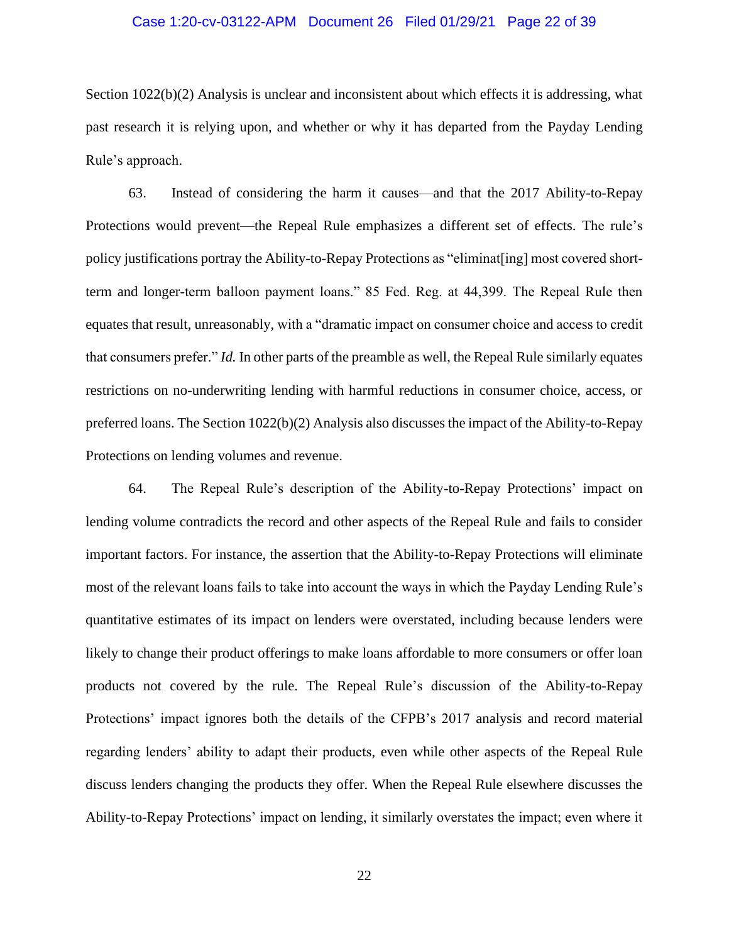## Case 1:20-cv-03122-APM Document 26 Filed 01/29/21 Page 22 of 39

Section 1022(b)(2) Analysis is unclear and inconsistent about which effects it is addressing, what past research it is relying upon, and whether or why it has departed from the Payday Lending Rule's approach.

63. Instead of considering the harm it causes—and that the 2017 Ability-to-Repay Protections would prevent—the Repeal Rule emphasizes a different set of effects. The rule's policy justifications portray the Ability-to-Repay Protections as "eliminat[ing] most covered shortterm and longer-term balloon payment loans." 85 Fed. Reg. at 44,399. The Repeal Rule then equates that result, unreasonably, with a "dramatic impact on consumer choice and access to credit that consumers prefer." *Id.* In other parts of the preamble as well, the Repeal Rule similarly equates restrictions on no-underwriting lending with harmful reductions in consumer choice, access, or preferred loans. The Section 1022(b)(2) Analysis also discusses the impact of the Ability-to-Repay Protections on lending volumes and revenue.

64. The Repeal Rule's description of the Ability-to-Repay Protections' impact on lending volume contradicts the record and other aspects of the Repeal Rule and fails to consider important factors. For instance, the assertion that the Ability-to-Repay Protections will eliminate most of the relevant loans fails to take into account the ways in which the Payday Lending Rule's quantitative estimates of its impact on lenders were overstated, including because lenders were likely to change their product offerings to make loans affordable to more consumers or offer loan products not covered by the rule. The Repeal Rule's discussion of the Ability-to-Repay Protections' impact ignores both the details of the CFPB's 2017 analysis and record material regarding lenders' ability to adapt their products, even while other aspects of the Repeal Rule discuss lenders changing the products they offer. When the Repeal Rule elsewhere discusses the Ability-to-Repay Protections' impact on lending, it similarly overstates the impact; even where it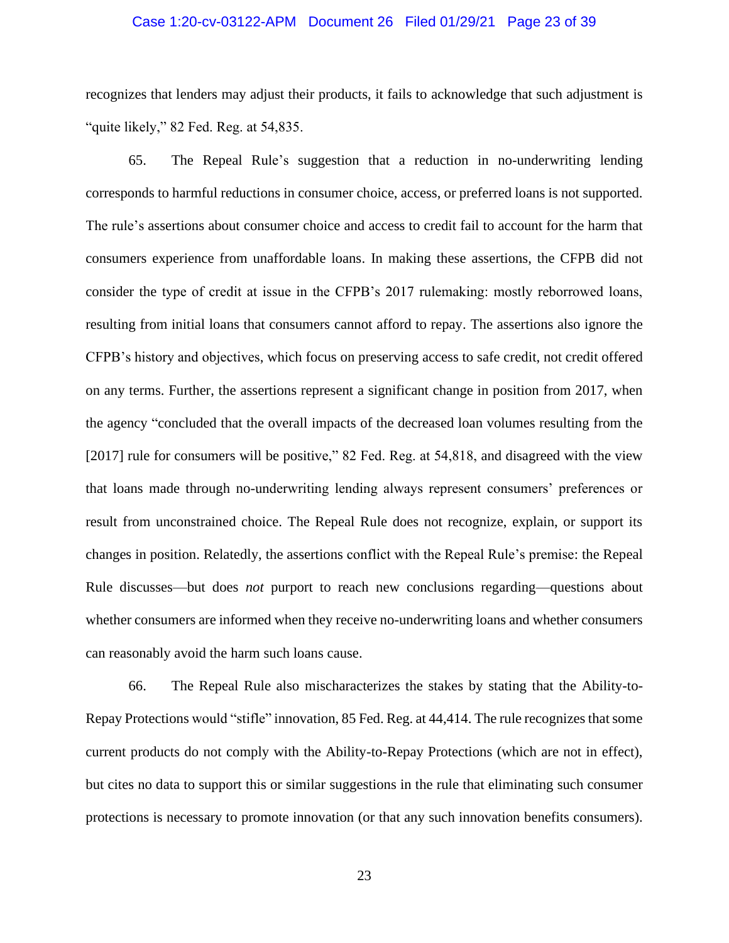## Case 1:20-cv-03122-APM Document 26 Filed 01/29/21 Page 23 of 39

recognizes that lenders may adjust their products, it fails to acknowledge that such adjustment is "quite likely," 82 Fed. Reg. at 54,835.

65. The Repeal Rule's suggestion that a reduction in no-underwriting lending corresponds to harmful reductions in consumer choice, access, or preferred loans is not supported. The rule's assertions about consumer choice and access to credit fail to account for the harm that consumers experience from unaffordable loans. In making these assertions, the CFPB did not consider the type of credit at issue in the CFPB's 2017 rulemaking: mostly reborrowed loans, resulting from initial loans that consumers cannot afford to repay. The assertions also ignore the CFPB's history and objectives, which focus on preserving access to safe credit, not credit offered on any terms. Further, the assertions represent a significant change in position from 2017, when the agency "concluded that the overall impacts of the decreased loan volumes resulting from the [2017] rule for consumers will be positive," 82 Fed. Reg. at 54,818, and disagreed with the view that loans made through no-underwriting lending always represent consumers' preferences or result from unconstrained choice. The Repeal Rule does not recognize, explain, or support its changes in position. Relatedly, the assertions conflict with the Repeal Rule's premise: the Repeal Rule discusses—but does *not* purport to reach new conclusions regarding—questions about whether consumers are informed when they receive no-underwriting loans and whether consumers can reasonably avoid the harm such loans cause.

66. The Repeal Rule also mischaracterizes the stakes by stating that the Ability-to-Repay Protections would "stifle" innovation, 85 Fed. Reg. at 44,414. The rule recognizes that some current products do not comply with the Ability-to-Repay Protections (which are not in effect), but cites no data to support this or similar suggestions in the rule that eliminating such consumer protections is necessary to promote innovation (or that any such innovation benefits consumers).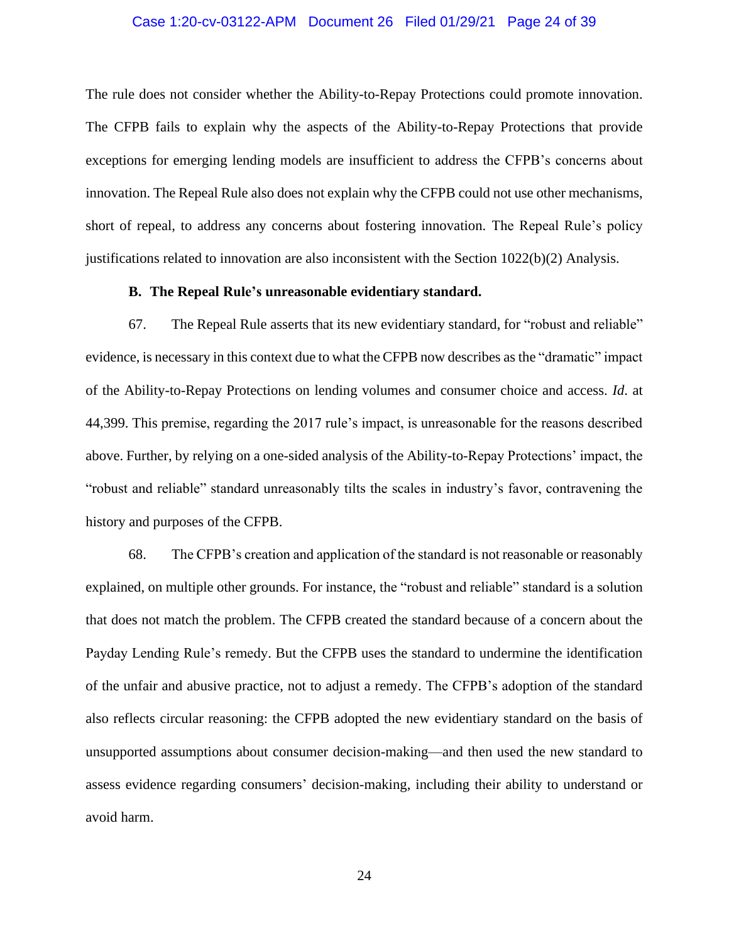## Case 1:20-cv-03122-APM Document 26 Filed 01/29/21 Page 24 of 39

The rule does not consider whether the Ability-to-Repay Protections could promote innovation. The CFPB fails to explain why the aspects of the Ability-to-Repay Protections that provide exceptions for emerging lending models are insufficient to address the CFPB's concerns about innovation. The Repeal Rule also does not explain why the CFPB could not use other mechanisms, short of repeal, to address any concerns about fostering innovation. The Repeal Rule's policy justifications related to innovation are also inconsistent with the Section 1022(b)(2) Analysis.

## **B. The Repeal Rule's unreasonable evidentiary standard.**

67. The Repeal Rule asserts that its new evidentiary standard, for "robust and reliable" evidence, is necessary in this context due to what the CFPB now describes as the "dramatic" impact of the Ability-to-Repay Protections on lending volumes and consumer choice and access. *Id*. at 44,399. This premise, regarding the 2017 rule's impact, is unreasonable for the reasons described above. Further, by relying on a one-sided analysis of the Ability-to-Repay Protections' impact, the "robust and reliable" standard unreasonably tilts the scales in industry's favor, contravening the history and purposes of the CFPB.

68. The CFPB's creation and application of the standard is not reasonable or reasonably explained, on multiple other grounds. For instance, the "robust and reliable" standard is a solution that does not match the problem. The CFPB created the standard because of a concern about the Payday Lending Rule's remedy. But the CFPB uses the standard to undermine the identification of the unfair and abusive practice, not to adjust a remedy. The CFPB's adoption of the standard also reflects circular reasoning: the CFPB adopted the new evidentiary standard on the basis of unsupported assumptions about consumer decision-making—and then used the new standard to assess evidence regarding consumers' decision-making, including their ability to understand or avoid harm.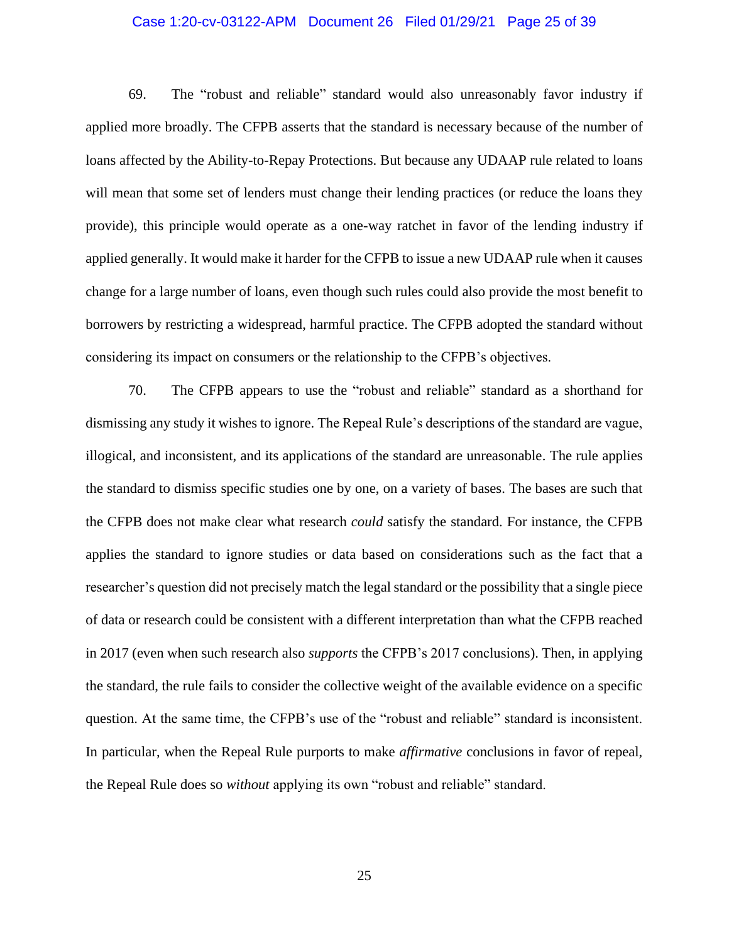## Case 1:20-cv-03122-APM Document 26 Filed 01/29/21 Page 25 of 39

69. The "robust and reliable" standard would also unreasonably favor industry if applied more broadly. The CFPB asserts that the standard is necessary because of the number of loans affected by the Ability-to-Repay Protections. But because any UDAAP rule related to loans will mean that some set of lenders must change their lending practices (or reduce the loans they provide), this principle would operate as a one-way ratchet in favor of the lending industry if applied generally. It would make it harder for the CFPB to issue a new UDAAP rule when it causes change for a large number of loans, even though such rules could also provide the most benefit to borrowers by restricting a widespread, harmful practice. The CFPB adopted the standard without considering its impact on consumers or the relationship to the CFPB's objectives.

70. The CFPB appears to use the "robust and reliable" standard as a shorthand for dismissing any study it wishes to ignore. The Repeal Rule's descriptions of the standard are vague, illogical, and inconsistent, and its applications of the standard are unreasonable. The rule applies the standard to dismiss specific studies one by one, on a variety of bases. The bases are such that the CFPB does not make clear what research *could* satisfy the standard. For instance, the CFPB applies the standard to ignore studies or data based on considerations such as the fact that a researcher's question did not precisely match the legal standard or the possibility that a single piece of data or research could be consistent with a different interpretation than what the CFPB reached in 2017 (even when such research also *supports* the CFPB's 2017 conclusions). Then, in applying the standard, the rule fails to consider the collective weight of the available evidence on a specific question. At the same time, the CFPB's use of the "robust and reliable" standard is inconsistent. In particular, when the Repeal Rule purports to make *affirmative* conclusions in favor of repeal, the Repeal Rule does so *without* applying its own "robust and reliable" standard.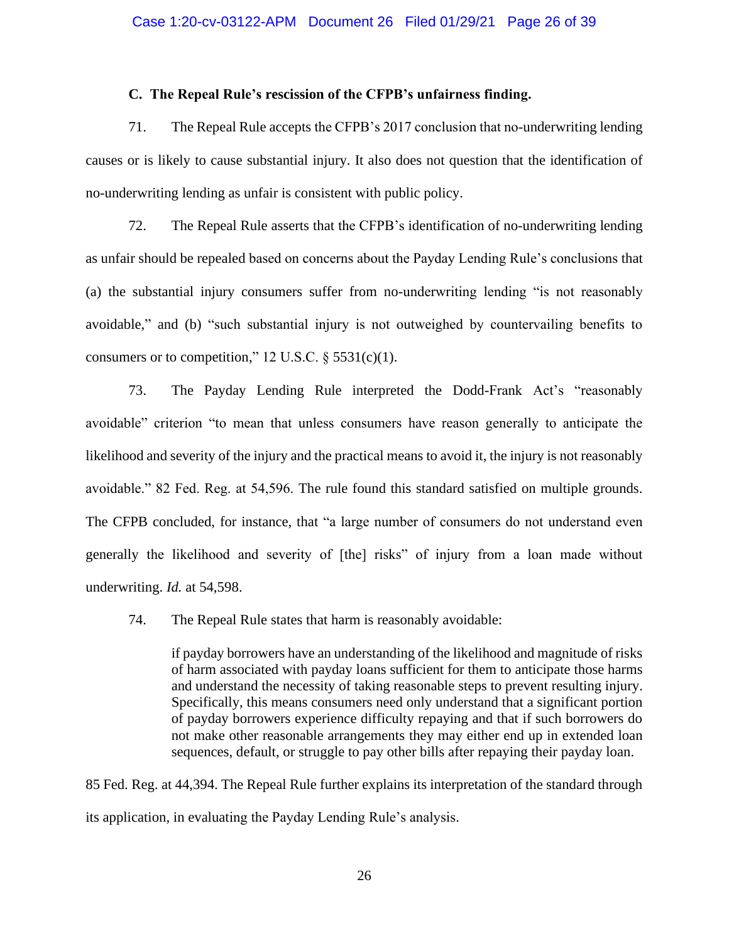## **C. The Repeal Rule's rescission of the CFPB's unfairness finding.**

71. The Repeal Rule accepts the CFPB's 2017 conclusion that no-underwriting lending causes or is likely to cause substantial injury. It also does not question that the identification of no-underwriting lending as unfair is consistent with public policy.

72. The Repeal Rule asserts that the CFPB's identification of no-underwriting lending as unfair should be repealed based on concerns about the Payday Lending Rule's conclusions that (a) the substantial injury consumers suffer from no-underwriting lending "is not reasonably avoidable," and (b) "such substantial injury is not outweighed by countervailing benefits to consumers or to competition," 12 U.S.C.  $\S$  5531(c)(1).

73. The Payday Lending Rule interpreted the Dodd-Frank Act's "reasonably avoidable" criterion "to mean that unless consumers have reason generally to anticipate the likelihood and severity of the injury and the practical means to avoid it, the injury is not reasonably avoidable." 82 Fed. Reg. at 54,596. The rule found this standard satisfied on multiple grounds. The CFPB concluded, for instance, that "a large number of consumers do not understand even generally the likelihood and severity of [the] risks" of injury from a loan made without underwriting. *Id.* at 54,598.

74. The Repeal Rule states that harm is reasonably avoidable:

if payday borrowers have an understanding of the likelihood and magnitude of risks of harm associated with payday loans sufficient for them to anticipate those harms and understand the necessity of taking reasonable steps to prevent resulting injury. Specifically, this means consumers need only understand that a significant portion of payday borrowers experience difficulty repaying and that if such borrowers do not make other reasonable arrangements they may either end up in extended loan sequences, default, or struggle to pay other bills after repaying their payday loan.

85 Fed. Reg. at 44,394. The Repeal Rule further explains its interpretation of the standard through its application, in evaluating the Payday Lending Rule's analysis.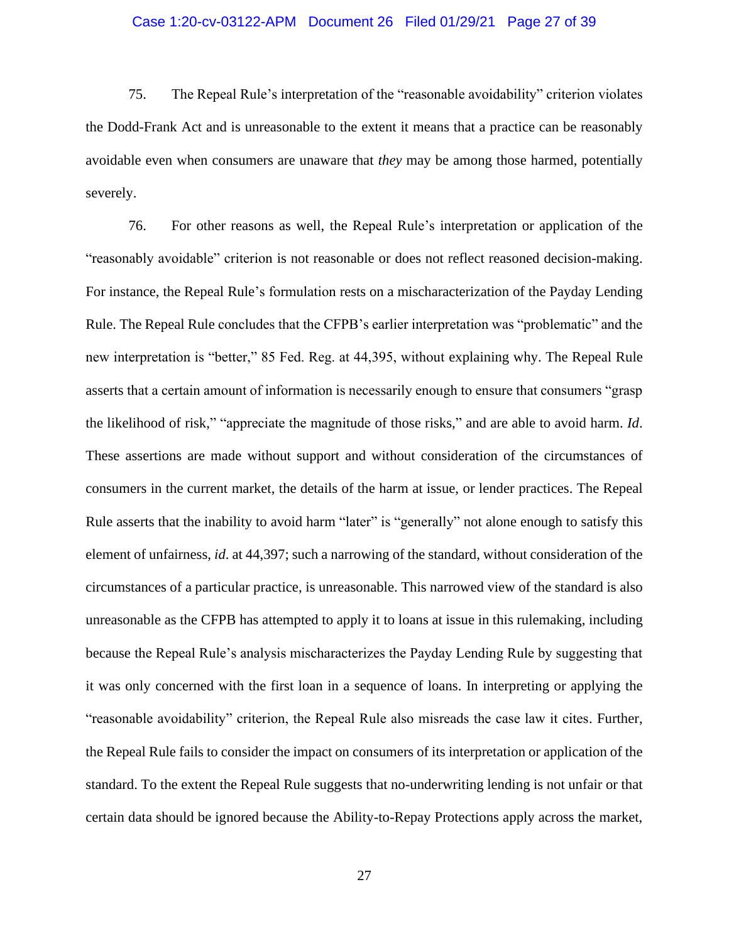## Case 1:20-cv-03122-APM Document 26 Filed 01/29/21 Page 27 of 39

75. The Repeal Rule's interpretation of the "reasonable avoidability" criterion violates the Dodd-Frank Act and is unreasonable to the extent it means that a practice can be reasonably avoidable even when consumers are unaware that *they* may be among those harmed, potentially severely.

76. For other reasons as well, the Repeal Rule's interpretation or application of the "reasonably avoidable" criterion is not reasonable or does not reflect reasoned decision-making. For instance, the Repeal Rule's formulation rests on a mischaracterization of the Payday Lending Rule. The Repeal Rule concludes that the CFPB's earlier interpretation was "problematic" and the new interpretation is "better," 85 Fed. Reg. at 44,395, without explaining why. The Repeal Rule asserts that a certain amount of information is necessarily enough to ensure that consumers "grasp the likelihood of risk," "appreciate the magnitude of those risks," and are able to avoid harm. *Id*. These assertions are made without support and without consideration of the circumstances of consumers in the current market, the details of the harm at issue, or lender practices. The Repeal Rule asserts that the inability to avoid harm "later" is "generally" not alone enough to satisfy this element of unfairness, *id*. at 44,397; such a narrowing of the standard, without consideration of the circumstances of a particular practice, is unreasonable. This narrowed view of the standard is also unreasonable as the CFPB has attempted to apply it to loans at issue in this rulemaking, including because the Repeal Rule's analysis mischaracterizes the Payday Lending Rule by suggesting that it was only concerned with the first loan in a sequence of loans. In interpreting or applying the "reasonable avoidability" criterion, the Repeal Rule also misreads the case law it cites. Further, the Repeal Rule fails to consider the impact on consumers of its interpretation or application of the standard. To the extent the Repeal Rule suggests that no-underwriting lending is not unfair or that certain data should be ignored because the Ability-to-Repay Protections apply across the market,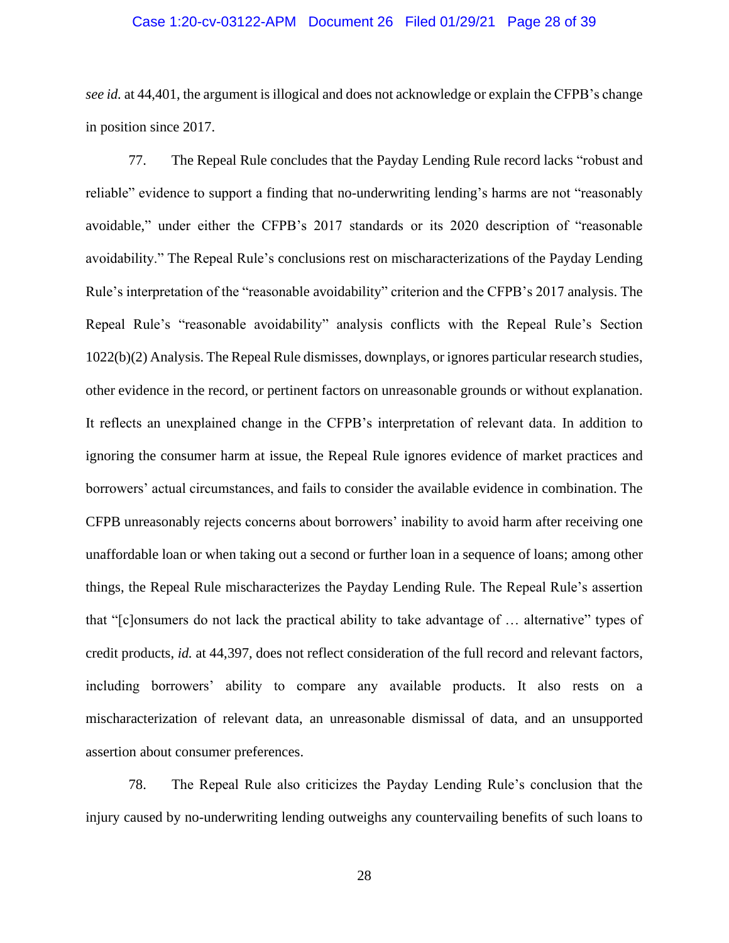## Case 1:20-cv-03122-APM Document 26 Filed 01/29/21 Page 28 of 39

*see id.* at 44,401, the argument is illogical and does not acknowledge or explain the CFPB's change in position since 2017.

77. The Repeal Rule concludes that the Payday Lending Rule record lacks "robust and reliable" evidence to support a finding that no-underwriting lending's harms are not "reasonably avoidable," under either the CFPB's 2017 standards or its 2020 description of "reasonable avoidability." The Repeal Rule's conclusions rest on mischaracterizations of the Payday Lending Rule's interpretation of the "reasonable avoidability" criterion and the CFPB's 2017 analysis. The Repeal Rule's "reasonable avoidability" analysis conflicts with the Repeal Rule's Section 1022(b)(2) Analysis. The Repeal Rule dismisses, downplays, or ignores particular research studies, other evidence in the record, or pertinent factors on unreasonable grounds or without explanation. It reflects an unexplained change in the CFPB's interpretation of relevant data. In addition to ignoring the consumer harm at issue, the Repeal Rule ignores evidence of market practices and borrowers' actual circumstances, and fails to consider the available evidence in combination. The CFPB unreasonably rejects concerns about borrowers' inability to avoid harm after receiving one unaffordable loan or when taking out a second or further loan in a sequence of loans; among other things, the Repeal Rule mischaracterizes the Payday Lending Rule. The Repeal Rule's assertion that "[c]onsumers do not lack the practical ability to take advantage of … alternative" types of credit products, *id.* at 44,397, does not reflect consideration of the full record and relevant factors, including borrowers' ability to compare any available products. It also rests on a mischaracterization of relevant data, an unreasonable dismissal of data, and an unsupported assertion about consumer preferences.

78. The Repeal Rule also criticizes the Payday Lending Rule's conclusion that the injury caused by no-underwriting lending outweighs any countervailing benefits of such loans to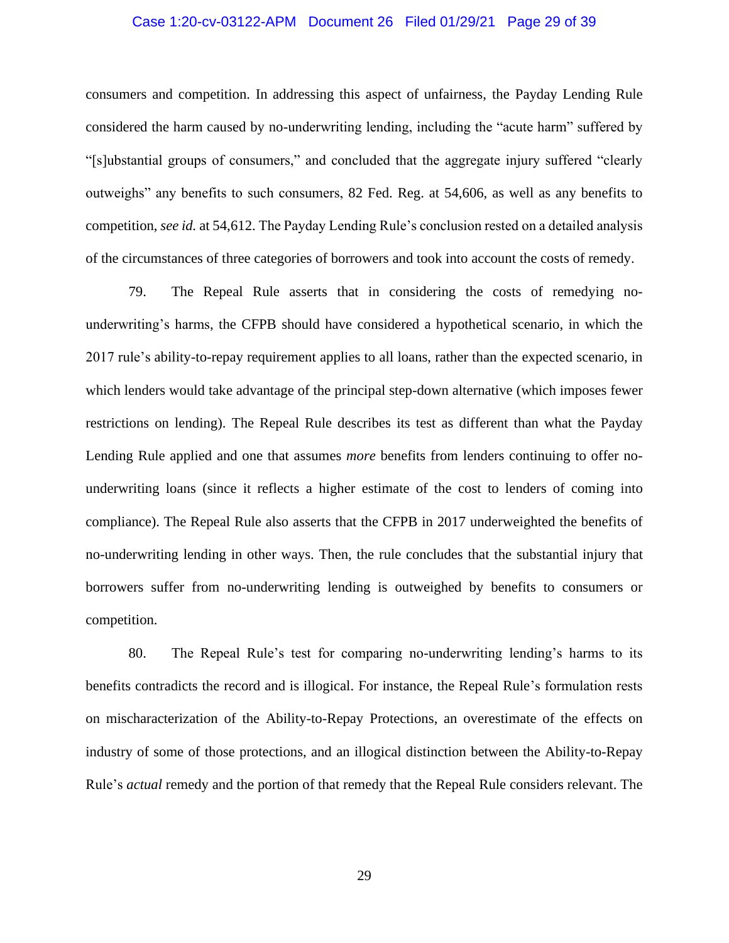## Case 1:20-cv-03122-APM Document 26 Filed 01/29/21 Page 29 of 39

consumers and competition. In addressing this aspect of unfairness, the Payday Lending Rule considered the harm caused by no-underwriting lending, including the "acute harm" suffered by "[s]ubstantial groups of consumers," and concluded that the aggregate injury suffered "clearly outweighs" any benefits to such consumers, 82 Fed. Reg. at 54,606, as well as any benefits to competition, *see id.* at 54,612. The Payday Lending Rule's conclusion rested on a detailed analysis of the circumstances of three categories of borrowers and took into account the costs of remedy.

79. The Repeal Rule asserts that in considering the costs of remedying nounderwriting's harms, the CFPB should have considered a hypothetical scenario, in which the 2017 rule's ability-to-repay requirement applies to all loans, rather than the expected scenario, in which lenders would take advantage of the principal step-down alternative (which imposes fewer restrictions on lending). The Repeal Rule describes its test as different than what the Payday Lending Rule applied and one that assumes *more* benefits from lenders continuing to offer nounderwriting loans (since it reflects a higher estimate of the cost to lenders of coming into compliance). The Repeal Rule also asserts that the CFPB in 2017 underweighted the benefits of no-underwriting lending in other ways. Then, the rule concludes that the substantial injury that borrowers suffer from no-underwriting lending is outweighed by benefits to consumers or competition.

80. The Repeal Rule's test for comparing no-underwriting lending's harms to its benefits contradicts the record and is illogical. For instance, the Repeal Rule's formulation rests on mischaracterization of the Ability-to-Repay Protections, an overestimate of the effects on industry of some of those protections, and an illogical distinction between the Ability-to-Repay Rule's *actual* remedy and the portion of that remedy that the Repeal Rule considers relevant. The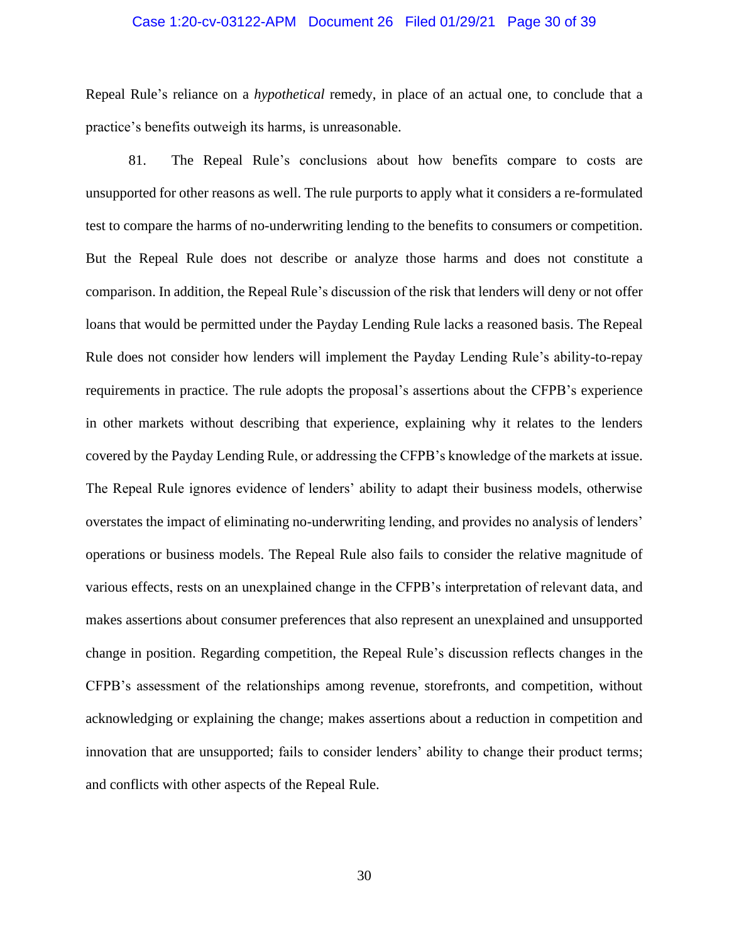## Case 1:20-cv-03122-APM Document 26 Filed 01/29/21 Page 30 of 39

Repeal Rule's reliance on a *hypothetical* remedy, in place of an actual one, to conclude that a practice's benefits outweigh its harms, is unreasonable.

81. The Repeal Rule's conclusions about how benefits compare to costs are unsupported for other reasons as well. The rule purports to apply what it considers a re-formulated test to compare the harms of no-underwriting lending to the benefits to consumers or competition. But the Repeal Rule does not describe or analyze those harms and does not constitute a comparison. In addition, the Repeal Rule's discussion of the risk that lenders will deny or not offer loans that would be permitted under the Payday Lending Rule lacks a reasoned basis. The Repeal Rule does not consider how lenders will implement the Payday Lending Rule's ability-to-repay requirements in practice. The rule adopts the proposal's assertions about the CFPB's experience in other markets without describing that experience, explaining why it relates to the lenders covered by the Payday Lending Rule, or addressing the CFPB's knowledge of the markets at issue. The Repeal Rule ignores evidence of lenders' ability to adapt their business models, otherwise overstates the impact of eliminating no-underwriting lending, and provides no analysis of lenders' operations or business models. The Repeal Rule also fails to consider the relative magnitude of various effects, rests on an unexplained change in the CFPB's interpretation of relevant data, and makes assertions about consumer preferences that also represent an unexplained and unsupported change in position. Regarding competition, the Repeal Rule's discussion reflects changes in the CFPB's assessment of the relationships among revenue, storefronts, and competition, without acknowledging or explaining the change; makes assertions about a reduction in competition and innovation that are unsupported; fails to consider lenders' ability to change their product terms; and conflicts with other aspects of the Repeal Rule.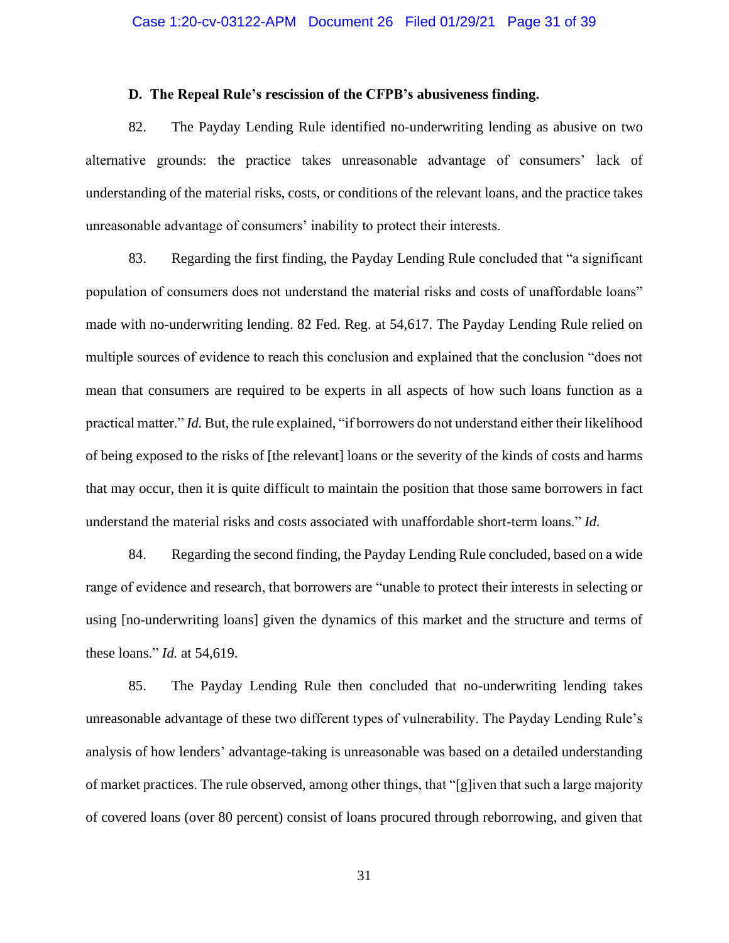### **D. The Repeal Rule's rescission of the CFPB's abusiveness finding.**

82. The Payday Lending Rule identified no-underwriting lending as abusive on two alternative grounds: the practice takes unreasonable advantage of consumers' lack of understanding of the material risks, costs, or conditions of the relevant loans, and the practice takes unreasonable advantage of consumers' inability to protect their interests.

83. Regarding the first finding, the Payday Lending Rule concluded that "a significant population of consumers does not understand the material risks and costs of unaffordable loans" made with no-underwriting lending. 82 Fed. Reg. at 54,617. The Payday Lending Rule relied on multiple sources of evidence to reach this conclusion and explained that the conclusion "does not mean that consumers are required to be experts in all aspects of how such loans function as a practical matter." *Id.* But, the rule explained, "if borrowers do not understand either their likelihood of being exposed to the risks of [the relevant] loans or the severity of the kinds of costs and harms that may occur, then it is quite difficult to maintain the position that those same borrowers in fact understand the material risks and costs associated with unaffordable short-term loans." *Id.*

84. Regarding the second finding, the Payday Lending Rule concluded, based on a wide range of evidence and research, that borrowers are "unable to protect their interests in selecting or using [no-underwriting loans] given the dynamics of this market and the structure and terms of these loans." *Id.* at 54,619.

85. The Payday Lending Rule then concluded that no-underwriting lending takes unreasonable advantage of these two different types of vulnerability. The Payday Lending Rule's analysis of how lenders' advantage-taking is unreasonable was based on a detailed understanding of market practices. The rule observed, among other things, that "[g]iven that such a large majority of covered loans (over 80 percent) consist of loans procured through reborrowing, and given that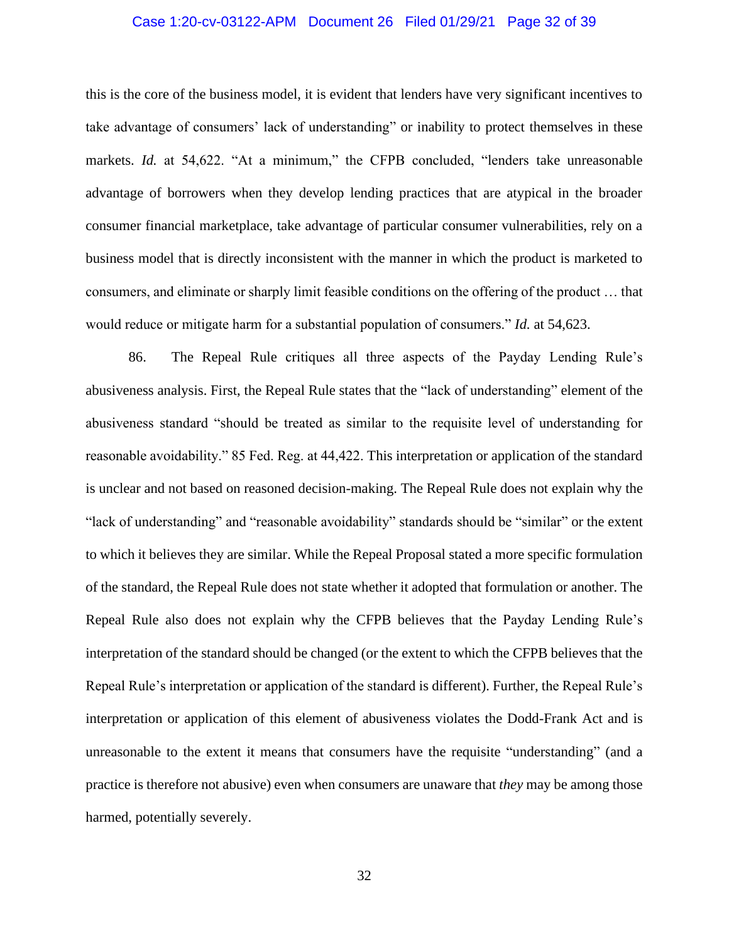## Case 1:20-cv-03122-APM Document 26 Filed 01/29/21 Page 32 of 39

this is the core of the business model, it is evident that lenders have very significant incentives to take advantage of consumers' lack of understanding" or inability to protect themselves in these markets. *Id.* at 54,622. "At a minimum," the CFPB concluded, "lenders take unreasonable advantage of borrowers when they develop lending practices that are atypical in the broader consumer financial marketplace, take advantage of particular consumer vulnerabilities, rely on a business model that is directly inconsistent with the manner in which the product is marketed to consumers, and eliminate or sharply limit feasible conditions on the offering of the product … that would reduce or mitigate harm for a substantial population of consumers." *Id.* at 54,623.

86. The Repeal Rule critiques all three aspects of the Payday Lending Rule's abusiveness analysis. First, the Repeal Rule states that the "lack of understanding" element of the abusiveness standard "should be treated as similar to the requisite level of understanding for reasonable avoidability." 85 Fed. Reg. at 44,422. This interpretation or application of the standard is unclear and not based on reasoned decision-making. The Repeal Rule does not explain why the "lack of understanding" and "reasonable avoidability" standards should be "similar" or the extent to which it believes they are similar. While the Repeal Proposal stated a more specific formulation of the standard, the Repeal Rule does not state whether it adopted that formulation or another. The Repeal Rule also does not explain why the CFPB believes that the Payday Lending Rule's interpretation of the standard should be changed (or the extent to which the CFPB believes that the Repeal Rule's interpretation or application of the standard is different). Further, the Repeal Rule's interpretation or application of this element of abusiveness violates the Dodd-Frank Act and is unreasonable to the extent it means that consumers have the requisite "understanding" (and a practice is therefore not abusive) even when consumers are unaware that *they* may be among those harmed, potentially severely.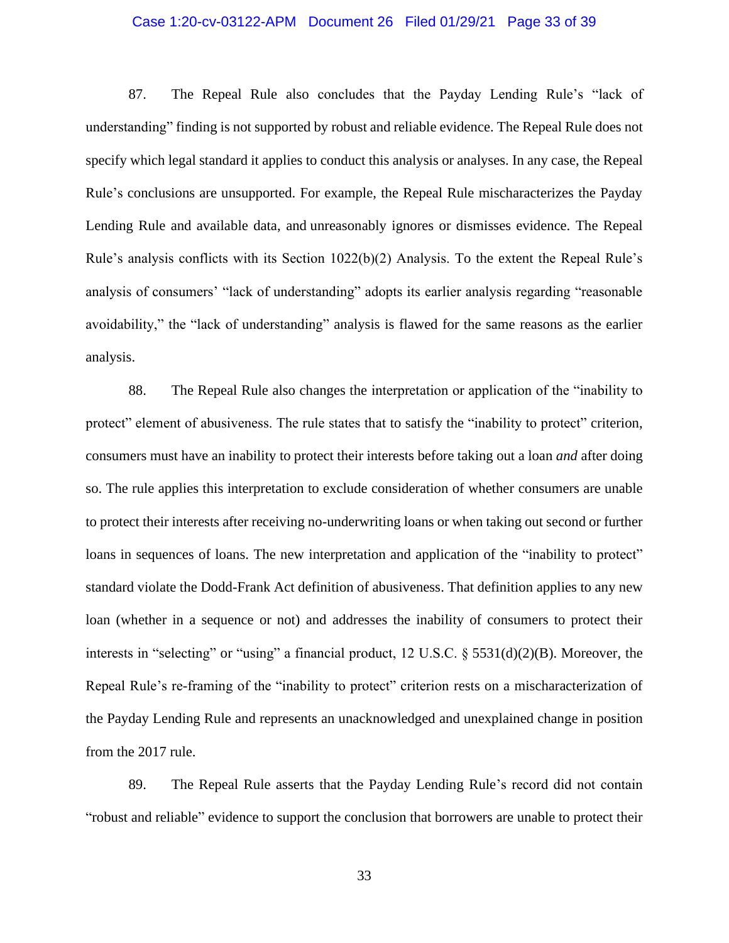## Case 1:20-cv-03122-APM Document 26 Filed 01/29/21 Page 33 of 39

87. The Repeal Rule also concludes that the Payday Lending Rule's "lack of understanding" finding is not supported by robust and reliable evidence. The Repeal Rule does not specify which legal standard it applies to conduct this analysis or analyses. In any case, the Repeal Rule's conclusions are unsupported. For example, the Repeal Rule mischaracterizes the Payday Lending Rule and available data, and unreasonably ignores or dismisses evidence. The Repeal Rule's analysis conflicts with its Section 1022(b)(2) Analysis. To the extent the Repeal Rule's analysis of consumers' "lack of understanding" adopts its earlier analysis regarding "reasonable avoidability," the "lack of understanding" analysis is flawed for the same reasons as the earlier analysis.

88. The Repeal Rule also changes the interpretation or application of the "inability to protect" element of abusiveness. The rule states that to satisfy the "inability to protect" criterion, consumers must have an inability to protect their interests before taking out a loan *and* after doing so. The rule applies this interpretation to exclude consideration of whether consumers are unable to protect their interests after receiving no-underwriting loans or when taking out second or further loans in sequences of loans. The new interpretation and application of the "inability to protect" standard violate the Dodd-Frank Act definition of abusiveness. That definition applies to any new loan (whether in a sequence or not) and addresses the inability of consumers to protect their interests in "selecting" or "using" a financial product, 12 U.S.C. § 5531(d)(2)(B). Moreover, the Repeal Rule's re-framing of the "inability to protect" criterion rests on a mischaracterization of the Payday Lending Rule and represents an unacknowledged and unexplained change in position from the 2017 rule.

89. The Repeal Rule asserts that the Payday Lending Rule's record did not contain "robust and reliable" evidence to support the conclusion that borrowers are unable to protect their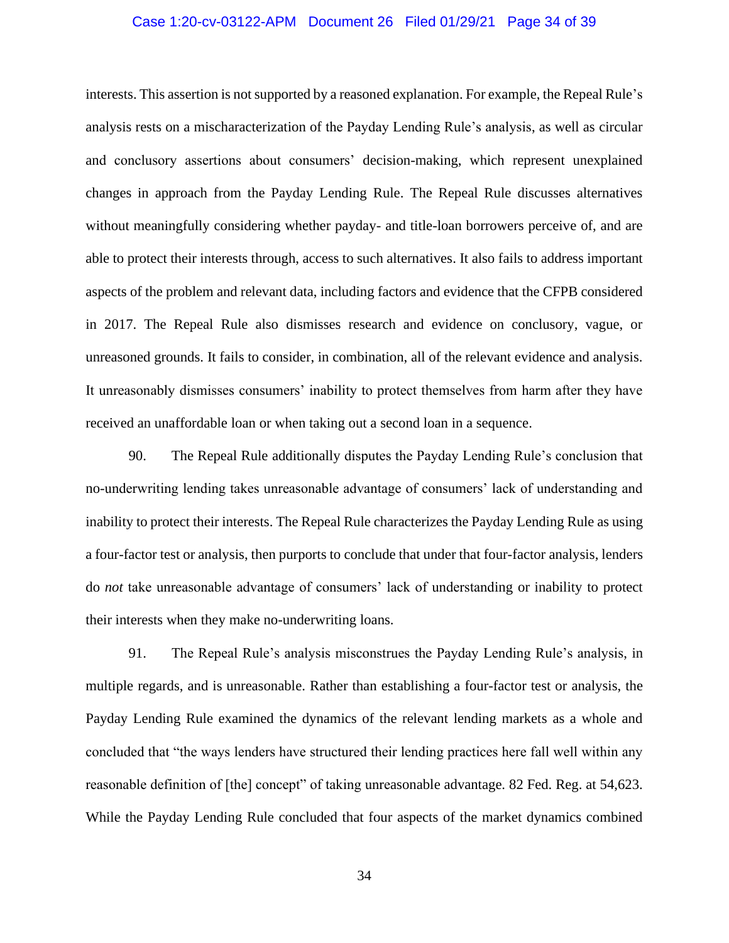## Case 1:20-cv-03122-APM Document 26 Filed 01/29/21 Page 34 of 39

interests. This assertion is not supported by a reasoned explanation. For example, the Repeal Rule's analysis rests on a mischaracterization of the Payday Lending Rule's analysis, as well as circular and conclusory assertions about consumers' decision-making, which represent unexplained changes in approach from the Payday Lending Rule. The Repeal Rule discusses alternatives without meaningfully considering whether payday- and title-loan borrowers perceive of, and are able to protect their interests through, access to such alternatives. It also fails to address important aspects of the problem and relevant data, including factors and evidence that the CFPB considered in 2017. The Repeal Rule also dismisses research and evidence on conclusory, vague, or unreasoned grounds. It fails to consider, in combination, all of the relevant evidence and analysis. It unreasonably dismisses consumers' inability to protect themselves from harm after they have received an unaffordable loan or when taking out a second loan in a sequence.

90. The Repeal Rule additionally disputes the Payday Lending Rule's conclusion that no-underwriting lending takes unreasonable advantage of consumers' lack of understanding and inability to protect their interests. The Repeal Rule characterizes the Payday Lending Rule as using a four-factor test or analysis, then purports to conclude that under that four-factor analysis, lenders do *not* take unreasonable advantage of consumers' lack of understanding or inability to protect their interests when they make no-underwriting loans.

91. The Repeal Rule's analysis misconstrues the Payday Lending Rule's analysis, in multiple regards, and is unreasonable. Rather than establishing a four-factor test or analysis, the Payday Lending Rule examined the dynamics of the relevant lending markets as a whole and concluded that "the ways lenders have structured their lending practices here fall well within any reasonable definition of [the] concept" of taking unreasonable advantage. 82 Fed. Reg. at 54,623. While the Payday Lending Rule concluded that four aspects of the market dynamics combined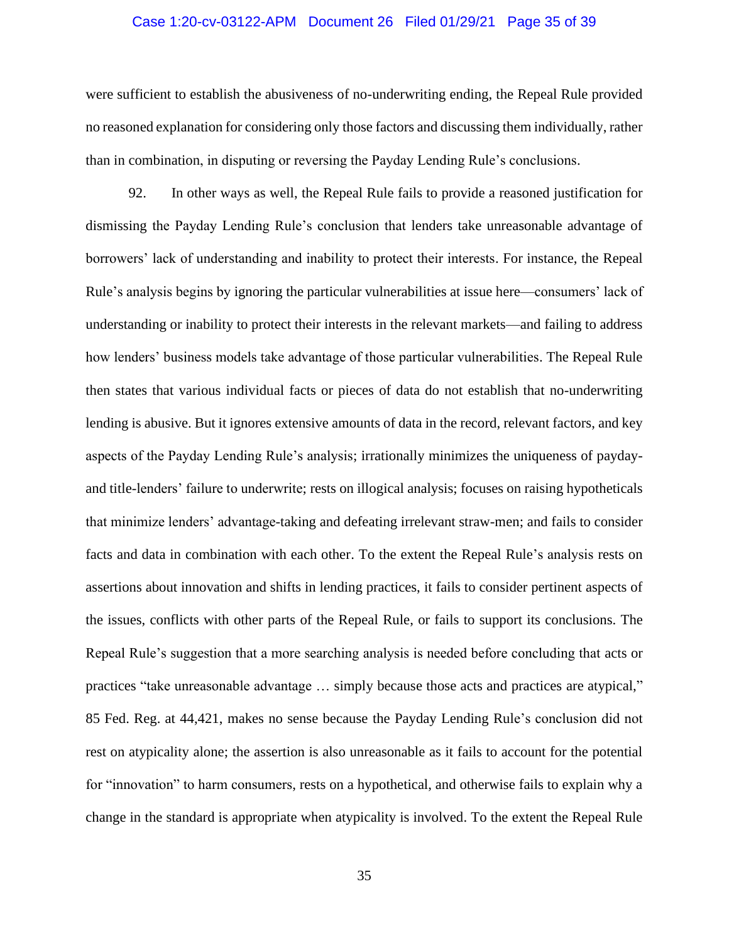## Case 1:20-cv-03122-APM Document 26 Filed 01/29/21 Page 35 of 39

were sufficient to establish the abusiveness of no-underwriting ending, the Repeal Rule provided no reasoned explanation for considering only those factors and discussing them individually, rather than in combination, in disputing or reversing the Payday Lending Rule's conclusions.

92. In other ways as well, the Repeal Rule fails to provide a reasoned justification for dismissing the Payday Lending Rule's conclusion that lenders take unreasonable advantage of borrowers' lack of understanding and inability to protect their interests. For instance, the Repeal Rule's analysis begins by ignoring the particular vulnerabilities at issue here—consumers' lack of understanding or inability to protect their interests in the relevant markets—and failing to address how lenders' business models take advantage of those particular vulnerabilities. The Repeal Rule then states that various individual facts or pieces of data do not establish that no-underwriting lending is abusive. But it ignores extensive amounts of data in the record, relevant factors, and key aspects of the Payday Lending Rule's analysis; irrationally minimizes the uniqueness of paydayand title-lenders' failure to underwrite; rests on illogical analysis; focuses on raising hypotheticals that minimize lenders' advantage-taking and defeating irrelevant straw-men; and fails to consider facts and data in combination with each other. To the extent the Repeal Rule's analysis rests on assertions about innovation and shifts in lending practices, it fails to consider pertinent aspects of the issues, conflicts with other parts of the Repeal Rule, or fails to support its conclusions. The Repeal Rule's suggestion that a more searching analysis is needed before concluding that acts or practices "take unreasonable advantage … simply because those acts and practices are atypical," 85 Fed. Reg. at 44,421, makes no sense because the Payday Lending Rule's conclusion did not rest on atypicality alone; the assertion is also unreasonable as it fails to account for the potential for "innovation" to harm consumers, rests on a hypothetical, and otherwise fails to explain why a change in the standard is appropriate when atypicality is involved. To the extent the Repeal Rule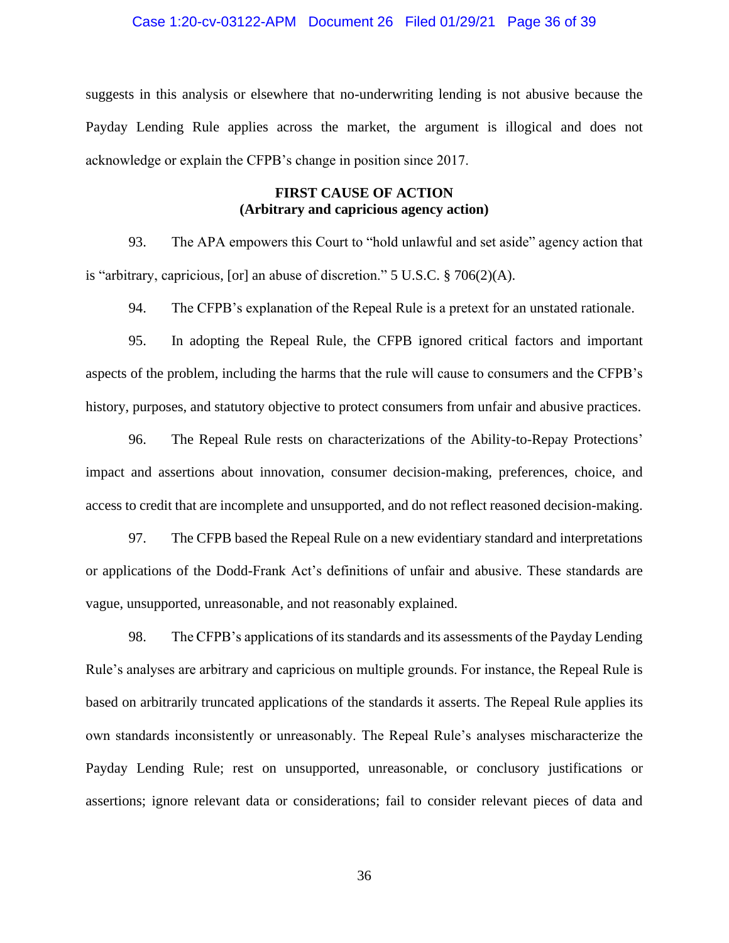### Case 1:20-cv-03122-APM Document 26 Filed 01/29/21 Page 36 of 39

suggests in this analysis or elsewhere that no-underwriting lending is not abusive because the Payday Lending Rule applies across the market, the argument is illogical and does not acknowledge or explain the CFPB's change in position since 2017.

# **FIRST CAUSE OF ACTION (Arbitrary and capricious agency action)**

93. The APA empowers this Court to "hold unlawful and set aside" agency action that is "arbitrary, capricious, [or] an abuse of discretion." 5 U.S.C. § 706(2)(A).

94. The CFPB's explanation of the Repeal Rule is a pretext for an unstated rationale.

95. In adopting the Repeal Rule, the CFPB ignored critical factors and important aspects of the problem, including the harms that the rule will cause to consumers and the CFPB's history, purposes, and statutory objective to protect consumers from unfair and abusive practices.

96. The Repeal Rule rests on characterizations of the Ability-to-Repay Protections' impact and assertions about innovation, consumer decision-making, preferences, choice, and access to credit that are incomplete and unsupported, and do not reflect reasoned decision-making.

97. The CFPB based the Repeal Rule on a new evidentiary standard and interpretations or applications of the Dodd-Frank Act's definitions of unfair and abusive. These standards are vague, unsupported, unreasonable, and not reasonably explained.

98. The CFPB's applications of its standards and its assessments of the Payday Lending Rule's analyses are arbitrary and capricious on multiple grounds. For instance, the Repeal Rule is based on arbitrarily truncated applications of the standards it asserts. The Repeal Rule applies its own standards inconsistently or unreasonably. The Repeal Rule's analyses mischaracterize the Payday Lending Rule; rest on unsupported, unreasonable, or conclusory justifications or assertions; ignore relevant data or considerations; fail to consider relevant pieces of data and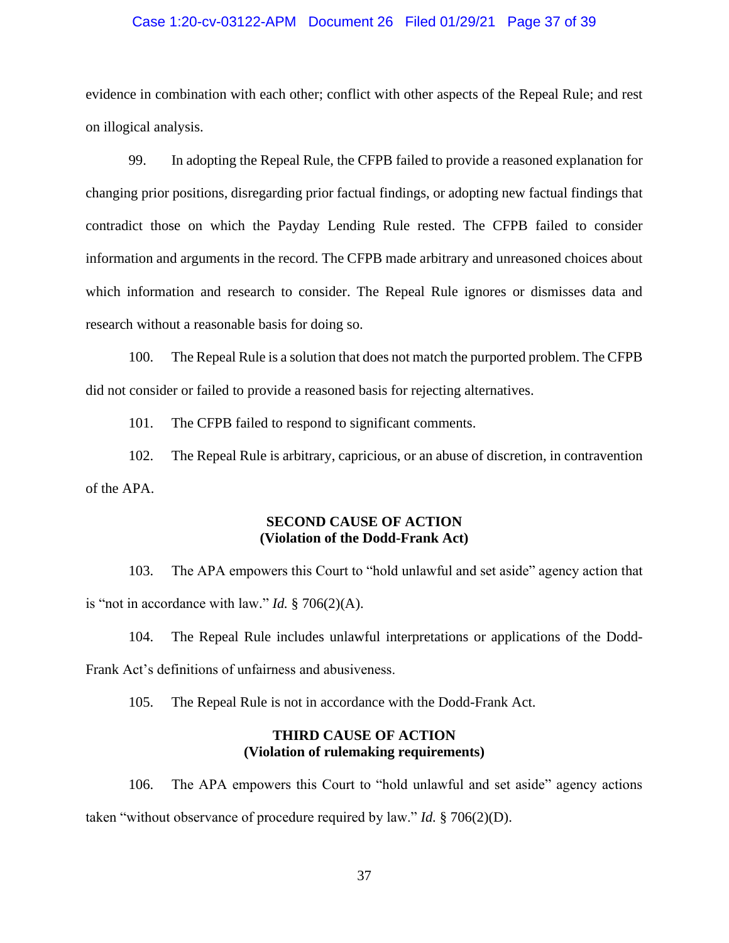## Case 1:20-cv-03122-APM Document 26 Filed 01/29/21 Page 37 of 39

evidence in combination with each other; conflict with other aspects of the Repeal Rule; and rest on illogical analysis.

99. In adopting the Repeal Rule, the CFPB failed to provide a reasoned explanation for changing prior positions, disregarding prior factual findings, or adopting new factual findings that contradict those on which the Payday Lending Rule rested. The CFPB failed to consider information and arguments in the record. The CFPB made arbitrary and unreasoned choices about which information and research to consider. The Repeal Rule ignores or dismisses data and research without a reasonable basis for doing so.

100. The Repeal Rule is a solution that does not match the purported problem. The CFPB did not consider or failed to provide a reasoned basis for rejecting alternatives.

101. The CFPB failed to respond to significant comments.

102. The Repeal Rule is arbitrary, capricious, or an abuse of discretion, in contravention of the APA.

# **SECOND CAUSE OF ACTION (Violation of the Dodd-Frank Act)**

103. The APA empowers this Court to "hold unlawful and set aside" agency action that is "not in accordance with law." *Id.* § 706(2)(A).

104. The Repeal Rule includes unlawful interpretations or applications of the Dodd-Frank Act's definitions of unfairness and abusiveness.

105. The Repeal Rule is not in accordance with the Dodd-Frank Act.

# **THIRD CAUSE OF ACTION (Violation of rulemaking requirements)**

106. The APA empowers this Court to "hold unlawful and set aside" agency actions taken "without observance of procedure required by law." *Id.* § 706(2)(D).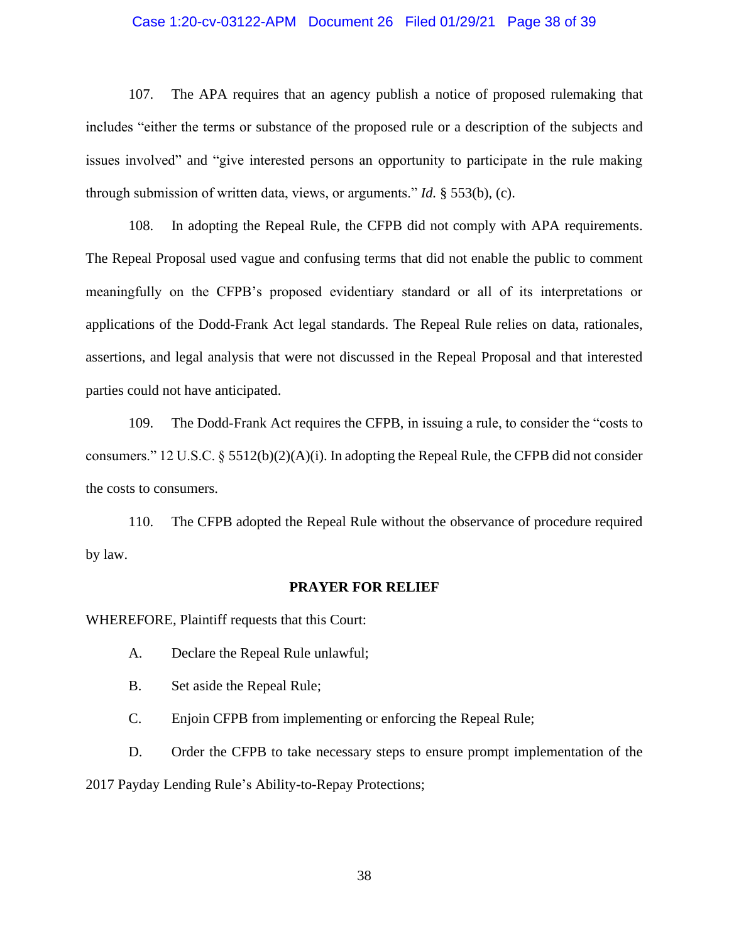## Case 1:20-cv-03122-APM Document 26 Filed 01/29/21 Page 38 of 39

107. The APA requires that an agency publish a notice of proposed rulemaking that includes "either the terms or substance of the proposed rule or a description of the subjects and issues involved" and "give interested persons an opportunity to participate in the rule making through submission of written data, views, or arguments." *Id.* § 553(b), (c).

108. In adopting the Repeal Rule, the CFPB did not comply with APA requirements. The Repeal Proposal used vague and confusing terms that did not enable the public to comment meaningfully on the CFPB's proposed evidentiary standard or all of its interpretations or applications of the Dodd-Frank Act legal standards. The Repeal Rule relies on data, rationales, assertions, and legal analysis that were not discussed in the Repeal Proposal and that interested parties could not have anticipated.

109. The Dodd-Frank Act requires the CFPB, in issuing a rule, to consider the "costs to consumers." 12 U.S.C.  $\S$  5512(b)(2)(A)(i). In adopting the Repeal Rule, the CFPB did not consider the costs to consumers.

110. The CFPB adopted the Repeal Rule without the observance of procedure required by law.

#### **PRAYER FOR RELIEF**

WHEREFORE, Plaintiff requests that this Court:

- A. Declare the Repeal Rule unlawful;
- B. Set aside the Repeal Rule;

C. Enjoin CFPB from implementing or enforcing the Repeal Rule;

D. Order the CFPB to take necessary steps to ensure prompt implementation of the 2017 Payday Lending Rule's Ability-to-Repay Protections;